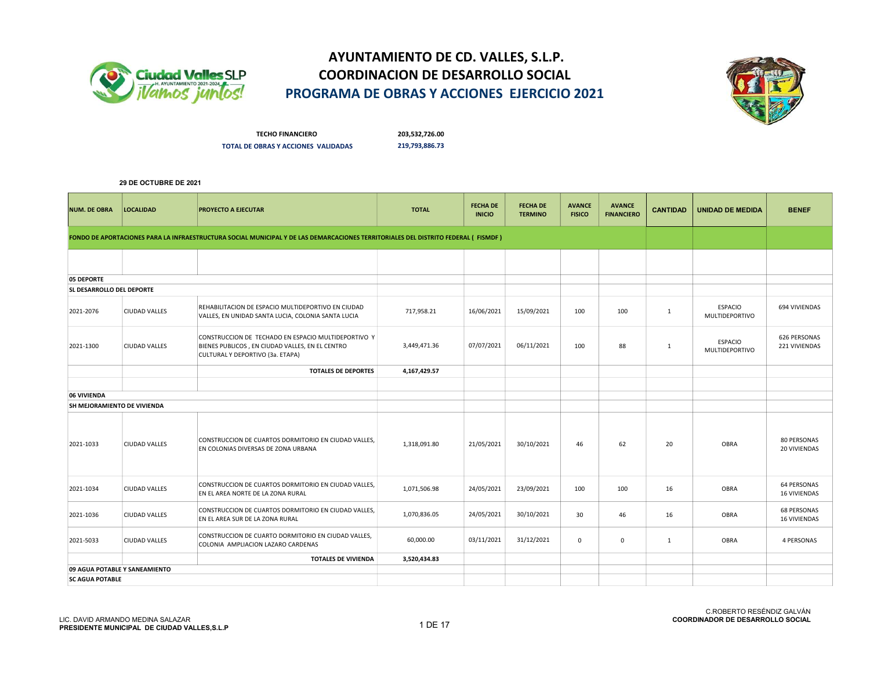



TECHO FINANCIERO 203,532,726.00 TOTAL DE OBRAS Y ACCIONES VALIDADAS 219,793,886.73

| <b>NUM. DE OBRA</b>         | <b>LOCALIDAD</b>              | <b>PROYECTO A EJECUTAR</b>                                                                                                                 | <b>TOTAL</b> | <b>FECHA DE</b><br><b>INICIO</b> | <b>FECHA DE</b><br><b>TERMINO</b> | <b>AVANCE</b><br><b>FISICO</b> | <b>AVANCE</b><br><b>FINANCIERO</b> | <b>CANTIDAD</b> | <b>UNIDAD DE MEDIDA</b>          | <b>BENEF</b>                              |
|-----------------------------|-------------------------------|--------------------------------------------------------------------------------------------------------------------------------------------|--------------|----------------------------------|-----------------------------------|--------------------------------|------------------------------------|-----------------|----------------------------------|-------------------------------------------|
|                             |                               | FONDO DE APORTACIONES PARA LA INFRAESTRUCTURA SOCIAL MUNICIPAL Y DE LAS DEMARCACIONES TERRITORIALES DEL DISTRITO FEDERAL (FISMDF)          |              |                                  |                                   |                                |                                    |                 |                                  |                                           |
|                             |                               |                                                                                                                                            |              |                                  |                                   |                                |                                    |                 |                                  |                                           |
| 05 DEPORTE                  |                               |                                                                                                                                            |              |                                  |                                   |                                |                                    |                 |                                  |                                           |
| SL DESARROLLO DEL DEPORTE   |                               |                                                                                                                                            |              |                                  |                                   |                                |                                    |                 |                                  |                                           |
| 2021-2076                   | <b>CIUDAD VALLES</b>          | REHABILITACION DE ESPACIO MULTIDEPORTIVO EN CIUDAD<br>VALLES, EN UNIDAD SANTA LUCIA, COLONIA SANTA LUCIA                                   | 717,958.21   | 16/06/2021                       | 15/09/2021                        | 100                            | 100                                | $\mathbf{1}$    | <b>ESPACIO</b><br>MULTIDEPORTIVO | 694 VIVIENDAS                             |
| 2021-1300                   | CIUDAD VALLES                 | CONSTRUCCION DE TECHADO EN ESPACIO MULTIDEPORTIVO Y<br>BIENES PUBLICOS, EN CIUDAD VALLES, EN EL CENTRO<br>CULTURAL Y DEPORTIVO (3a. ETAPA) | 3,449,471.36 | 07/07/2021                       | 06/11/2021                        | 100                            | 88                                 | $\mathbf{1}$    | <b>ESPACIO</b><br>MULTIDEPORTIVO | 626 PERSONAS<br>221 VIVIENDAS             |
|                             |                               | <b>TOTALES DE DEPORTES</b>                                                                                                                 | 4,167,429.57 |                                  |                                   |                                |                                    |                 |                                  |                                           |
|                             |                               |                                                                                                                                            |              |                                  |                                   |                                |                                    |                 |                                  |                                           |
| 06 VIVIENDA                 |                               |                                                                                                                                            |              |                                  |                                   |                                |                                    |                 |                                  |                                           |
| SH MEJORAMIENTO DE VIVIENDA |                               |                                                                                                                                            |              |                                  |                                   |                                |                                    |                 |                                  |                                           |
| 2021-1033                   | <b>CIUDAD VALLES</b>          | CONSTRUCCION DE CUARTOS DORMITORIO EN CIUDAD VALLES,<br>EN COLONIAS DIVERSAS DE ZONA URBANA                                                | 1,318,091.80 | 21/05/2021                       | 30/10/2021                        | 46                             | 62                                 | 20              | <b>OBRA</b>                      | 80 PERSONAS<br>20 VIVIENDAS               |
| 2021-1034                   | <b>CIUDAD VALLES</b>          | CONSTRUCCION DE CUARTOS DORMITORIO EN CIUDAD VALLES,<br>EN EL AREA NORTE DE LA ZONA RURAL                                                  | 1,071,506.98 | 24/05/2021                       | 23/09/2021                        | 100                            | 100                                | 16              | <b>OBRA</b>                      | <b>64 PERSONAS</b><br><b>16 VIVIENDAS</b> |
| 2021-1036                   | CIUDAD VALLES                 | CONSTRUCCION DE CUARTOS DORMITORIO EN CIUDAD VALLES,<br>EN EL AREA SUR DE LA ZONA RURAL                                                    | 1,070,836.05 | 24/05/2021                       | 30/10/2021                        | 30                             | 46                                 | 16              | OBRA                             | <b>68 PERSONAS</b><br><b>16 VIVIENDAS</b> |
| 2021-5033                   | CIUDAD VALLES                 | CONSTRUCCION DE CUARTO DORMITORIO EN CIUDAD VALLES,<br>COLONIA AMPLIACION LAZARO CARDENAS                                                  | 60,000.00    | 03/11/2021                       | 31/12/2021                        | $\mathbf 0$                    | $\mathbf 0$                        | $\mathbf{1}$    | OBRA                             | 4 PERSONAS                                |
|                             |                               | <b>TOTALES DE VIVIENDA</b>                                                                                                                 | 3,520,434.83 |                                  |                                   |                                |                                    |                 |                                  |                                           |
|                             | 09 AGUA POTABLE Y SANEAMIENTO |                                                                                                                                            |              |                                  |                                   |                                |                                    |                 |                                  |                                           |
| <b>SC AGUA POTABLE</b>      |                               |                                                                                                                                            |              |                                  |                                   |                                |                                    |                 |                                  |                                           |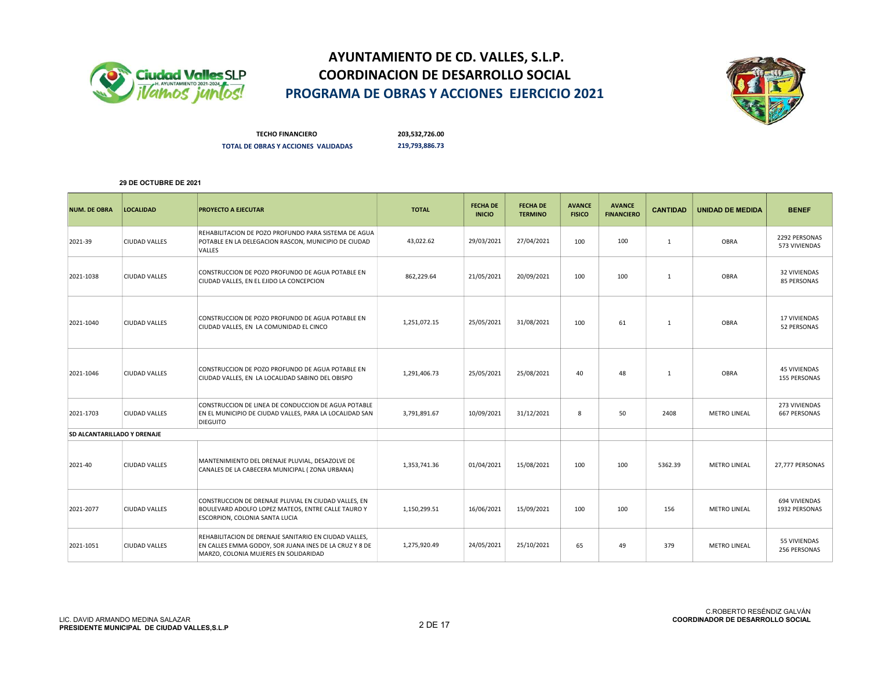



TECHO FINANCIERO 203,532,726.00 TOTAL DE OBRAS Y ACCIONES VALIDADAS 219,793,886.73

| <b>NUM. DE OBRA</b>         | <b>LOCALIDAD</b>     | <b>PROYECTO A EJECUTAR</b>                                                                                                                               | <b>TOTAL</b> | <b>FECHA DE</b><br><b>INICIO</b> | <b>FECHA DE</b><br><b>TERMINO</b> | <b>AVANCE</b><br><b>FISICO</b> | <b>AVANCE</b><br><b>FINANCIERO</b> | <b>CANTIDAD</b> | <b>UNIDAD DE MEDIDA</b> | <b>BENEF</b>                         |
|-----------------------------|----------------------|----------------------------------------------------------------------------------------------------------------------------------------------------------|--------------|----------------------------------|-----------------------------------|--------------------------------|------------------------------------|-----------------|-------------------------|--------------------------------------|
| 2021-39                     | <b>CIUDAD VALLES</b> | REHABILITACION DE POZO PROFUNDO PARA SISTEMA DE AGUA<br>POTABLE EN LA DELEGACION RASCON, MUNICIPIO DE CIUDAD<br>VALLES                                   | 43,022.62    | 29/03/2021                       | 27/04/2021                        | 100                            | 100                                | 1               | <b>OBRA</b>             | 2292 PERSONAS<br>573 VIVIENDAS       |
| 2021-1038                   | <b>CIUDAD VALLES</b> | CONSTRUCCION DE POZO PROFUNDO DE AGUA POTABLE EN<br>CIUDAD VALLES, EN EL EJIDO LA CONCEPCION                                                             | 862.229.64   | 21/05/2021                       | 20/09/2021                        | 100                            | 100                                | 1               | <b>OBRA</b>             | <b>32 VIVIENDAS</b><br>85 PERSONAS   |
| 2021-1040                   | <b>CIUDAD VALLES</b> | CONSTRUCCION DE POZO PROFUNDO DE AGUA POTABLE EN<br>CIUDAD VALLES, EN LA COMUNIDAD EL CINCO                                                              | 1,251,072.15 | 25/05/2021                       | 31/08/2021                        | 100                            | 61                                 | 1               | <b>OBRA</b>             | <b>17 VIVIENDAS</b><br>52 PERSONAS   |
| 2021-1046                   | <b>CIUDAD VALLES</b> | CONSTRUCCION DE POZO PROFUNDO DE AGUA POTABLE EN<br>CIUDAD VALLES, EN LA LOCALIDAD SABINO DEL OBISPO                                                     | 1,291,406.73 | 25/05/2021                       | 25/08/2021                        | 40                             | 48                                 | 1               | <b>OBRA</b>             | <b>45 VIVIENDAS</b><br>155 PERSONAS  |
| 2021-1703                   | <b>CIUDAD VALLES</b> | CONSTRUCCION DE LINEA DE CONDUCCION DE AGUA POTABLE<br>EN EL MUNICIPIO DE CIUDAD VALLES, PARA LA LOCALIDAD SAN<br><b>DIEGUITO</b>                        | 3,791,891.67 | 10/09/2021                       | 31/12/2021                        | 8                              | 50                                 | 2408            | <b>METRO LINEAL</b>     | 273 VIVIENDAS<br><b>667 PERSONAS</b> |
| SD ALCANTARILLADO Y DRENAJE |                      |                                                                                                                                                          |              |                                  |                                   |                                |                                    |                 |                         |                                      |
| 2021-40                     | <b>CIUDAD VALLES</b> | MANTENIMIENTO DEL DRENAJE PLUVIAL, DESAZOLVE DE<br>CANALES DE LA CABECERA MUNICIPAL (ZONA URBANA)                                                        | 1,353,741.36 | 01/04/2021                       | 15/08/2021                        | 100                            | 100                                | 5362.39         | <b>METRO LINEAL</b>     | 27,777 PERSONAS                      |
| 2021-2077                   | <b>CIUDAD VALLES</b> | CONSTRUCCION DE DRENAJE PLUVIAL EN CIUDAD VALLES, EN<br>BOULEVARD ADOLFO LOPEZ MATEOS, ENTRE CALLE TAURO Y<br>ESCORPION, COLONIA SANTA LUCIA             | 1,150,299.51 | 16/06/2021                       | 15/09/2021                        | 100                            | 100                                | 156             | <b>METRO LINEAL</b>     | 694 VIVIENDAS<br>1932 PERSONAS       |
| 2021-1051                   | <b>CIUDAD VALLES</b> | REHABILITACION DE DRENAJE SANITARIO EN CIUDAD VALLES,<br>EN CALLES EMMA GODOY, SOR JUANA INES DE LA CRUZ Y 8 DE<br>MARZO, COLONIA MUJERES EN SOLIDARIDAD | 1,275,920.49 | 24/05/2021                       | 25/10/2021                        | 65                             | 49                                 | 379             | <b>METRO LINEAL</b>     | <b>55 VIVIENDAS</b><br>256 PERSONAS  |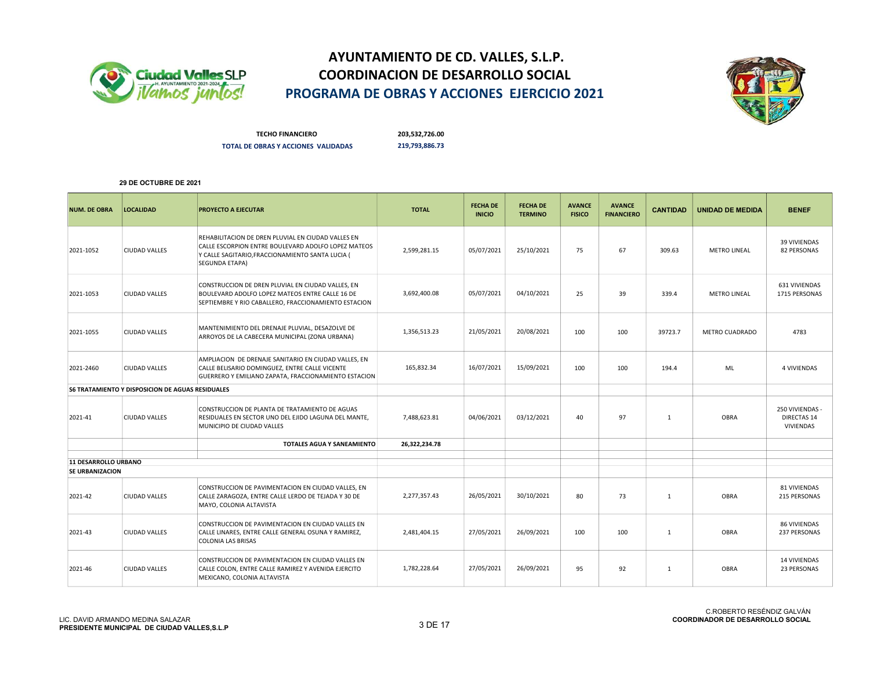



TECHO FINANCIERO 203,532,726.00 TOTAL DE OBRAS Y ACCIONES VALIDADAS 219,793,886.73

| <b>NUM. DE OBRA</b>    | <b>LOCALIDAD</b>                                        | <b>PROYECTO A EJECUTAR</b>                                                                                                                                                             | <b>TOTAL</b>  | <b>FECHA DE</b><br><b>INICIO</b> | <b>FECHA DE</b><br><b>TERMINO</b> | <b>AVANCE</b><br><b>FISICO</b> | <b>AVANCE</b><br><b>FINANCIERO</b> | <b>CANTIDAD</b> | <b>UNIDAD DE MEDIDA</b> | <b>BENEF</b>                                       |
|------------------------|---------------------------------------------------------|----------------------------------------------------------------------------------------------------------------------------------------------------------------------------------------|---------------|----------------------------------|-----------------------------------|--------------------------------|------------------------------------|-----------------|-------------------------|----------------------------------------------------|
| 2021-1052              | CIUDAD VALLES                                           | REHABILITACION DE DREN PLUVIAL EN CIUDAD VALLES EN<br>CALLE ESCORPION ENTRE BOULEVARD ADOLFO LOPEZ MATEOS<br>Y CALLE SAGITARIO, FRACCIONAMIENTO SANTA LUCIA (<br><b>SEGUNDA ETAPA)</b> | 2,599,281.15  | 05/07/2021                       | 25/10/2021                        | 75                             | 67                                 | 309.63          | <b>METRO LINEAL</b>     | 39 VIVIENDAS<br>82 PERSONAS                        |
| 2021-1053              | <b>CIUDAD VALLES</b>                                    | CONSTRUCCION DE DREN PLUVIAL EN CIUDAD VALLES, EN<br>BOULEVARD ADOLFO LOPEZ MATEOS ENTRE CALLE 16 DE<br>SEPTIEMBRE Y RIO CABALLERO, FRACCIONAMIENTO ESTACION                           | 3,692,400.08  | 05/07/2021                       | 04/10/2021                        | 25                             | 39                                 | 339.4           | <b>METRO LINEAL</b>     | 631 VIVIENDAS<br>1715 PERSONAS                     |
| 2021-1055              | <b>CIUDAD VALLES</b>                                    | MANTENIMIENTO DEL DRENAJE PLUVIAL, DESAZOLVE DE<br>ARROYOS DE LA CABECERA MUNICIPAL (ZONA URBANA)                                                                                      | 1,356,513.23  | 21/05/2021                       | 20/08/2021                        | 100                            | 100                                | 39723.7         | METRO CUADRADO          | 4783                                               |
| 2021-2460              | <b>CIUDAD VALLES</b>                                    | AMPLIACION DE DRENAJE SANITARIO EN CIUDAD VALLES, EN<br>CALLE BELISARIO DOMINGUEZ, ENTRE CALLE VICENTE<br>GUERRERO Y EMILIANO ZAPATA, FRACCIONAMIENTO ESTACION                         | 165,832.34    | 16/07/2021                       | 15/09/2021                        | 100                            | 100                                | 194.4           | <b>ML</b>               | <b>4 VIVIENDAS</b>                                 |
|                        | <b>S6 TRATAMIENTO Y DISPOSICION DE AGUAS RESIDUALES</b> |                                                                                                                                                                                        |               |                                  |                                   |                                |                                    |                 |                         |                                                    |
| 2021-41                | <b>CIUDAD VALLES</b>                                    | CONSTRUCCION DE PLANTA DE TRATAMIENTO DE AGUAS<br>RESIDUALES EN SECTOR UNO DEL EJIDO LAGUNA DEL MANTE,<br>MUNICIPIO DE CIUDAD VALLES                                                   | 7,488,623.81  | 04/06/2021                       | 03/12/2021                        | 40                             | 97                                 | 1               | <b>OBRA</b>             | 250 VIVIENDAS -<br><b>DIRECTAS 14</b><br>VIVIENDAS |
|                        |                                                         | <b>TOTALES AGUA Y SANEAMIENTO</b>                                                                                                                                                      | 26,322,234.78 |                                  |                                   |                                |                                    |                 |                         |                                                    |
| 11 DESARROLLO URBANO   |                                                         |                                                                                                                                                                                        |               |                                  |                                   |                                |                                    |                 |                         |                                                    |
| <b>SE URBANIZACION</b> |                                                         |                                                                                                                                                                                        |               |                                  |                                   |                                |                                    |                 |                         |                                                    |
| 2021-42                | CIUDAD VALLES                                           | CONSTRUCCION DE PAVIMENTACION EN CIUDAD VALLES, EN<br>CALLE ZARAGOZA, ENTRE CALLE LERDO DE TEJADA Y 30 DE<br>MAYO, COLONIA ALTAVISTA                                                   | 2,277,357.43  | 26/05/2021                       | 30/10/2021                        | 80                             | 73                                 | $\mathbf{1}$    | OBRA                    | 81 VIVIENDAS<br>215 PERSONAS                       |
| 2021-43                | <b>CIUDAD VALLES</b>                                    | CONSTRUCCION DE PAVIMENTACION EN CIUDAD VALLES EN<br>CALLE LINARES, ENTRE CALLE GENERAL OSUNA Y RAMIREZ,<br><b>COLONIA LAS BRISAS</b>                                                  | 2,481,404.15  | 27/05/2021                       | 26/09/2021                        | 100                            | 100                                | $\mathbf{1}$    | OBRA                    | 86 VIVIENDAS<br>237 PERSONAS                       |
| 2021-46                | <b>CIUDAD VALLES</b>                                    | CONSTRUCCION DE PAVIMENTACION EN CIUDAD VALLES EN<br>CALLE COLON, ENTRE CALLE RAMIREZ Y AVENIDA EJERCITO<br>MEXICANO, COLONIA ALTAVISTA                                                | 1,782,228.64  | 27/05/2021                       | 26/09/2021                        | 95                             | 92                                 | $\mathbf{1}$    | <b>OBRA</b>             | 14 VIVIENDAS<br>23 PERSONAS                        |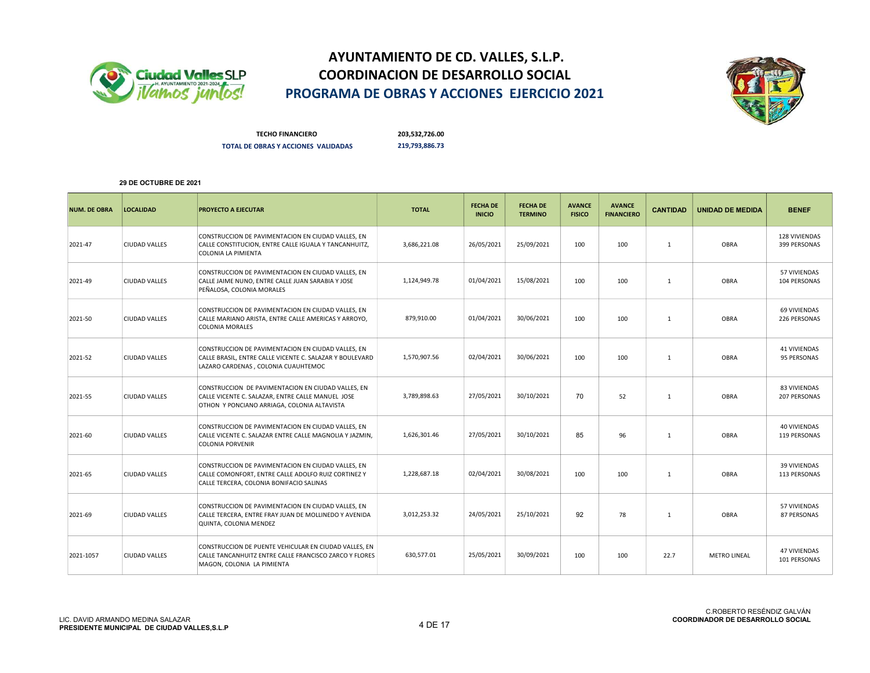



TECHO FINANCIERO 203,532,726.00 TOTAL DE OBRAS Y ACCIONES VALIDADAS 219,793,886.73

| <b>NUM. DE OBRA</b> | <b>LOCALIDAD</b>     | <b>PROYECTO A EJECUTAR</b>                                                                                                                             | <b>TOTAL</b> | <b>FECHA DE</b><br><b>INICIO</b> | <b>FECHA DE</b><br><b>TERMINO</b> | <b>AVANCE</b><br><b>FISICO</b> | <b>AVANCE</b><br><b>FINANCIERO</b> | <b>CANTIDAD</b> | <b>UNIDAD DE MEDIDA</b> | <b>BENEF</b>                        |
|---------------------|----------------------|--------------------------------------------------------------------------------------------------------------------------------------------------------|--------------|----------------------------------|-----------------------------------|--------------------------------|------------------------------------|-----------------|-------------------------|-------------------------------------|
| 2021-47             | <b>CIUDAD VALLES</b> | CONSTRUCCION DE PAVIMENTACION EN CIUDAD VALLES, EN<br>CALLE CONSTITUCION, ENTRE CALLE IGUALA Y TANCANHUITZ,<br>COLONIA LA PIMIENTA                     | 3,686,221.08 | 26/05/2021                       | 25/09/2021                        | 100                            | 100                                | $\mathbf{1}$    | <b>OBRA</b>             | 128 VIVIENDAS<br>399 PERSONAS       |
| 2021-49             | <b>CIUDAD VALLES</b> | CONSTRUCCION DE PAVIMENTACION EN CIUDAD VALLES, EN<br>CALLE JAIME NUNO, ENTRE CALLE JUAN SARABIA Y JOSE<br>PEÑALOSA, COLONIA MORALES                   | 1,124,949.78 | 01/04/2021                       | 15/08/2021                        | 100                            | 100                                | $\mathbf{1}$    | OBRA                    | 57 VIVIENDAS<br>104 PERSONAS        |
| 2021-50             | <b>CIUDAD VALLES</b> | CONSTRUCCION DE PAVIMENTACION EN CIUDAD VALLES, EN<br>CALLE MARIANO ARISTA, ENTRE CALLE AMERICAS Y ARROYO,<br><b>COLONIA MORALES</b>                   | 879.910.00   | 01/04/2021                       | 30/06/2021                        | 100                            | 100                                | $\mathbf{1}$    | OBRA                    | 69 VIVIENDAS<br>226 PERSONAS        |
| 2021-52             | <b>CIUDAD VALLES</b> | CONSTRUCCION DE PAVIMENTACION EN CIUDAD VALLES, EN<br>CALLE BRASIL, ENTRE CALLE VICENTE C. SALAZAR Y BOULEVARD<br>LAZARO CARDENAS, COLONIA CUAUHTEMOC  | 1,570,907.56 | 02/04/2021                       | 30/06/2021                        | 100                            | 100                                | $\mathbf{1}$    | <b>OBRA</b>             | 41 VIVIENDAS<br>95 PERSONAS         |
| 2021-55             | CIUDAD VALLES        | CONSTRUCCION DE PAVIMENTACION EN CIUDAD VALLES, EN<br>CALLE VICENTE C. SALAZAR, ENTRE CALLE MANUEL JOSE<br>OTHON Y PONCIANO ARRIAGA, COLONIA ALTAVISTA | 3,789,898.63 | 27/05/2021                       | 30/10/2021                        | 70                             | 52                                 | $\mathbf{1}$    | <b>OBRA</b>             | 83 VIVIENDAS<br>207 PERSONAS        |
| 2021-60             | <b>CIUDAD VALLES</b> | CONSTRUCCION DE PAVIMENTACION EN CIUDAD VALLES, EN<br>CALLE VICENTE C. SALAZAR ENTRE CALLE MAGNOLIA Y JAZMIN.<br><b>COLONIA PORVENIR</b>               | 1,626,301.46 | 27/05/2021                       | 30/10/2021                        | 85                             | 96                                 | $\mathbf{1}$    | OBRA                    | 40 VIVIENDAS<br>119 PERSONAS        |
| 2021-65             | <b>CIUDAD VALLES</b> | CONSTRUCCION DE PAVIMENTACION EN CIUDAD VALLES, EN<br>CALLE COMONFORT, ENTRE CALLE ADOLFO RUIZ CORTINEZ Y<br>CALLE TERCERA, COLONIA BONIFACIO SALINAS  | 1,228,687.18 | 02/04/2021                       | 30/08/2021                        | 100                            | 100                                | 1               | OBRA                    | 39 VIVIENDAS<br>113 PERSONAS        |
| 2021-69             | <b>CIUDAD VALLES</b> | CONSTRUCCION DE PAVIMENTACION EN CIUDAD VALLES, EN<br>CALLE TERCERA, ENTRE FRAY JUAN DE MOLLINEDO Y AVENIDA<br>QUINTA, COLONIA MENDEZ                  | 3,012,253.32 | 24/05/2021                       | 25/10/2021                        | 92                             | 78                                 | 1               | OBRA                    | 57 VIVIENDAS<br>87 PERSONAS         |
| 2021-1057           | <b>CIUDAD VALLES</b> | CONSTRUCCION DE PUENTE VEHICULAR EN CIUDAD VALLES, EN<br>CALLE TANCANHUITZ ENTRE CALLE FRANCISCO ZARCO Y FLORES<br>MAGON, COLONIA LA PIMIENTA          | 630,577.01   | 25/05/2021                       | 30/09/2021                        | 100                            | 100                                | 22.7            | <b>METRO LINEAL</b>     | <b>47 VIVIENDAS</b><br>101 PERSONAS |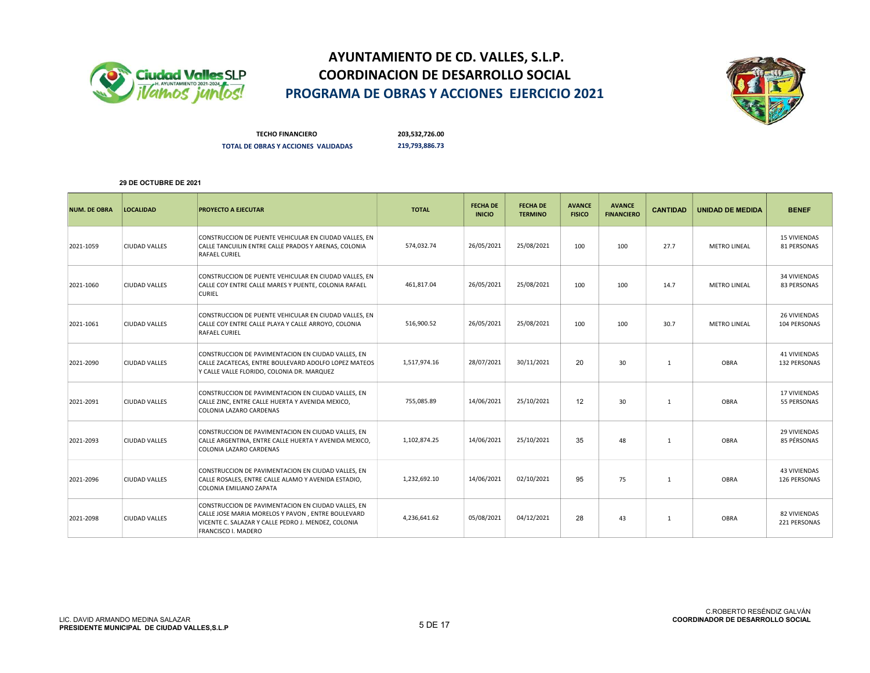



TECHO FINANCIERO 203,532,726.00 TOTAL DE OBRAS Y ACCIONES VALIDADAS 219,793,886.73

| <b>NUM. DE OBRA</b> | <b>LOCALIDAD</b>     | PROYECTO A EJECUTAR                                                                                                                                                                   | <b>TOTAL</b> | <b>FECHA DE</b><br><b>INICIO</b> | <b>FECHA DE</b><br><b>TERMINO</b> | <b>AVANCE</b><br><b>FISICO</b> | <b>AVANCE</b><br><b>FINANCIERO</b> | <b>CANTIDAD</b> | <b>UNIDAD DE MEDIDA</b> | <b>BENEF</b>                        |
|---------------------|----------------------|---------------------------------------------------------------------------------------------------------------------------------------------------------------------------------------|--------------|----------------------------------|-----------------------------------|--------------------------------|------------------------------------|-----------------|-------------------------|-------------------------------------|
| 2021-1059           | <b>CIUDAD VALLES</b> | CONSTRUCCION DE PUENTE VEHICULAR EN CIUDAD VALLES, EN<br>CALLE TANCUILIN ENTRE CALLE PRADOS Y ARENAS, COLONIA<br><b>RAFAEL CURIEL</b>                                                 | 574,032.74   | 26/05/2021                       | 25/08/2021                        | 100                            | 100                                | 27.7            | <b>METRO LINEAL</b>     | <b>15 VIVIENDAS</b><br>81 PERSONAS  |
| 2021-1060           | <b>CIUDAD VALLES</b> | CONSTRUCCION DE PUENTE VEHICULAR EN CIUDAD VALLES, EN<br>CALLE COY ENTRE CALLE MARES Y PUENTE, COLONIA RAFAEL<br><b>CURIEL</b>                                                        | 461,817.04   | 26/05/2021                       | 25/08/2021                        | 100                            | 100                                | 14.7            | <b>METRO LINEAL</b>     | 34 VIVIENDAS<br>83 PERSONAS         |
| 2021-1061           | <b>CIUDAD VALLES</b> | CONSTRUCCION DE PUENTE VEHICULAR EN CIUDAD VALLES, EN<br>CALLE COY ENTRE CALLE PLAYA Y CALLE ARROYO, COLONIA<br><b>RAFAEL CURIEL</b>                                                  | 516,900.52   | 26/05/2021                       | 25/08/2021                        | 100                            | 100                                | 30.7            | <b>METRO LINEAL</b>     | 26 VIVIENDAS<br>104 PERSONAS        |
| 2021-2090           | <b>CIUDAD VALLES</b> | CONSTRUCCION DE PAVIMENTACION EN CIUDAD VALLES, EN<br>CALLE ZACATECAS, ENTRE BOULEVARD ADOLFO LOPEZ MATEOS<br>Y CALLE VALLE FLORIDO, COLONIA DR. MARQUEZ                              | 1,517,974.16 | 28/07/2021                       | 30/11/2021                        | 20                             | 30                                 | $\mathbf{1}$    | <b>OBRA</b>             | <b>41 VIVIENDAS</b><br>132 PERSONAS |
| 2021-2091           | <b>CIUDAD VALLES</b> | CONSTRUCCION DE PAVIMENTACION EN CIUDAD VALLES, EN<br>CALLE ZINC, ENTRE CALLE HUERTA Y AVENIDA MEXICO,<br>COLONIA LAZARO CARDENAS                                                     | 755,085.89   | 14/06/2021                       | 25/10/2021                        | 12                             | 30                                 | $\mathbf{1}$    | <b>OBRA</b>             | 17 VIVIENDAS<br>55 PERSONAS         |
| 2021-2093           | <b>CIUDAD VALLES</b> | CONSTRUCCION DE PAVIMENTACION EN CIUDAD VALLES, EN<br>CALLE ARGENTINA, ENTRE CALLE HUERTA Y AVENIDA MEXICO,<br>COLONIA LAZARO CARDENAS                                                | 1,102,874.25 | 14/06/2021                       | 25/10/2021                        | 35                             | 48                                 | $\mathbf{1}$    | OBRA                    | 29 VIVIENDAS<br>85 PÉRSONAS         |
| 2021-2096           | <b>CIUDAD VALLES</b> | CONSTRUCCION DE PAVIMENTACION EN CIUDAD VALLES, EN<br>CALLE ROSALES, ENTRE CALLE ALAMO Y AVENIDA ESTADIO,<br>COLONIA EMILIANO ZAPATA                                                  | 1,232,692.10 | 14/06/2021                       | 02/10/2021                        | 95                             | 75                                 | $\mathbf{1}$    | <b>OBRA</b>             | 43 VIVIENDAS<br>126 PERSONAS        |
| 2021-2098           | <b>CIUDAD VALLES</b> | CONSTRUCCION DE PAVIMENTACION EN CIUDAD VALLES, EN<br>CALLE JOSE MARIA MORELOS Y PAVON, ENTRE BOULEVARD<br>VICENTE C. SALAZAR Y CALLE PEDRO J. MENDEZ, COLONIA<br>FRANCISCO I. MADERO | 4,236,641.62 | 05/08/2021                       | 04/12/2021                        | 28                             | 43                                 | $\mathbf{1}$    | OBRA                    | 82 VIVIENDAS<br>221 PERSONAS        |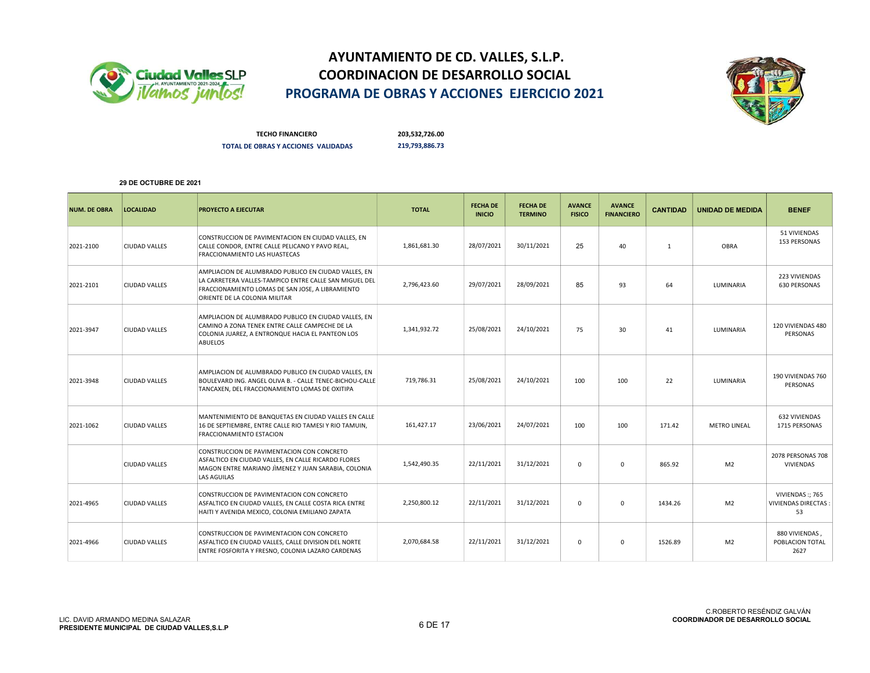



TECHO FINANCIERO 203,532,726.00 TOTAL DE OBRAS Y ACCIONES VALIDADAS 219,793,886.73

| <b>NUM. DE OBRA</b> | <b>LOCALIDAD</b>     | <b>PROYECTO A EJECUTAR</b>                                                                                                                                                                          | <b>TOTAL</b> | <b>FECHA DE</b><br><b>INICIO</b> | <b>FECHA DE</b><br><b>TERMINO</b> | <b>AVANCE</b><br><b>FISICO</b> | <b>AVANCE</b><br><b>FINANCIERO</b> | <b>CANTIDAD</b> | <b>UNIDAD DE MEDIDA</b> | <b>BENEF</b>                                        |
|---------------------|----------------------|-----------------------------------------------------------------------------------------------------------------------------------------------------------------------------------------------------|--------------|----------------------------------|-----------------------------------|--------------------------------|------------------------------------|-----------------|-------------------------|-----------------------------------------------------|
| 2021-2100           | <b>CIUDAD VALLES</b> | CONSTRUCCION DE PAVIMENTACION EN CIUDAD VALLES, EN<br>CALLE CONDOR, ENTRE CALLE PELICANO Y PAVO REAL,<br><b>FRACCIONAMIENTO LAS HUASTECAS</b>                                                       | 1,861,681.30 | 28/07/2021                       | 30/11/2021                        | 25                             | 40                                 | 1               | <b>OBRA</b>             | 51 VIVIENDAS<br>153 PERSONAS                        |
| 2021-2101           | <b>CIUDAD VALLES</b> | AMPLIACION DE ALUMBRADO PUBLICO EN CIUDAD VALLES, EN<br>LA CARRETERA VALLES-TAMPICO ENTRE CALLE SAN MIGUEL DEL<br>FRACCIONAMIENTO LOMAS DE SAN JOSE, A LIBRAMIENTO<br>ORIENTE DE LA COLONIA MILITAR | 2,796,423.60 | 29/07/2021                       | 28/09/2021                        | 85                             | 93                                 | 64              | LUMINARIA               | 223 VIVIENDAS<br>630 PERSONAS                       |
| 2021-3947           | <b>CIUDAD VALLES</b> | AMPLIACION DE ALUMBRADO PUBLICO EN CIUDAD VALLES, EN<br>CAMINO A ZONA TENEK ENTRE CALLE CAMPECHE DE LA<br>COLONIA JUAREZ, A ENTRONQUE HACIA EL PANTEON LOS<br><b>ABUELOS</b>                        | 1,341,932.72 | 25/08/2021                       | 24/10/2021                        | 75                             | 30                                 | 41              | LUMINARIA               | 120 VIVIENDAS 480<br>PERSONAS                       |
| 2021-3948           | <b>CIUDAD VALLES</b> | AMPLIACION DE ALUMBRADO PUBLICO EN CIUDAD VALLES, EN<br>BOULEVARD ING. ANGEL OLIVA B. - CALLE TENEC-BICHOU-CALLE<br>TANCAXEN, DEL FRACCIONAMIENTO LOMAS DE OXITIPA                                  | 719,786.31   | 25/08/2021                       | 24/10/2021                        | 100                            | 100                                | 22              | LUMINARIA               | 190 VIVIENDAS 760<br>PERSONAS                       |
| 2021-1062           | <b>CIUDAD VALLES</b> | MANTENIMIENTO DE BANQUETAS EN CIUDAD VALLES EN CALLE<br>16 DE SEPTIEMBRE, ENTRE CALLE RIO TAMESI Y RIO TAMUIN,<br>FRACCIONAMIENTO ESTACION                                                          | 161,427.17   | 23/06/2021                       | 24/07/2021                        | 100                            | 100                                | 171.42          | <b>METRO LINEAL</b>     | 632 VIVIENDAS<br>1715 PERSONAS                      |
|                     | <b>CIUDAD VALLES</b> | CONSTRUCCION DE PAVIMENTACION CON CONCRETO<br>ASFALTICO EN CIUDAD VALLES, EN CALLE RICARDO FLORES<br>MAGON ENTRE MARIANO JÌMENEZ Y JUAN SARABIA, COLONIA<br>LAS AGUILAS                             | 1,542,490.35 | 22/11/2021                       | 31/12/2021                        | $\mathbf 0$                    | $\mathbf 0$                        | 865.92          | M <sub>2</sub>          | 2078 PERSONAS 708<br>VIVIENDAS                      |
| 2021-4965           | <b>CIUDAD VALLES</b> | CONSTRUCCION DE PAVIMENTACION CON CONCRETO<br>ASFALTICO EN CIUDAD VALLES, EN CALLE COSTA RICA ENTRE<br>HAITI Y AVENIDA MEXICO, COLONIA EMILIANO ZAPATA                                              | 2,250,800.12 | 22/11/2021                       | 31/12/2021                        | $\mathbf 0$                    | 0                                  | 1434.26         | M <sub>2</sub>          | VIVIENDAS:; 765<br><b>VIVIENDAS DIRECTAS:</b><br>53 |
| 2021-4966           | <b>CIUDAD VALLES</b> | CONSTRUCCION DE PAVIMENTACION CON CONCRETO<br>ASFALTICO EN CIUDAD VALLES, CALLE DIVISION DEL NORTE<br>ENTRE FOSFORITA Y FRESNO, COLONIA LAZARO CARDENAS                                             | 2,070,684.58 | 22/11/2021                       | 31/12/2021                        | $\mathbf 0$                    | $\mathbf 0$                        | 1526.89         | M <sub>2</sub>          | 880 VIVIENDAS,<br>POBLACION TOTAL<br>2627           |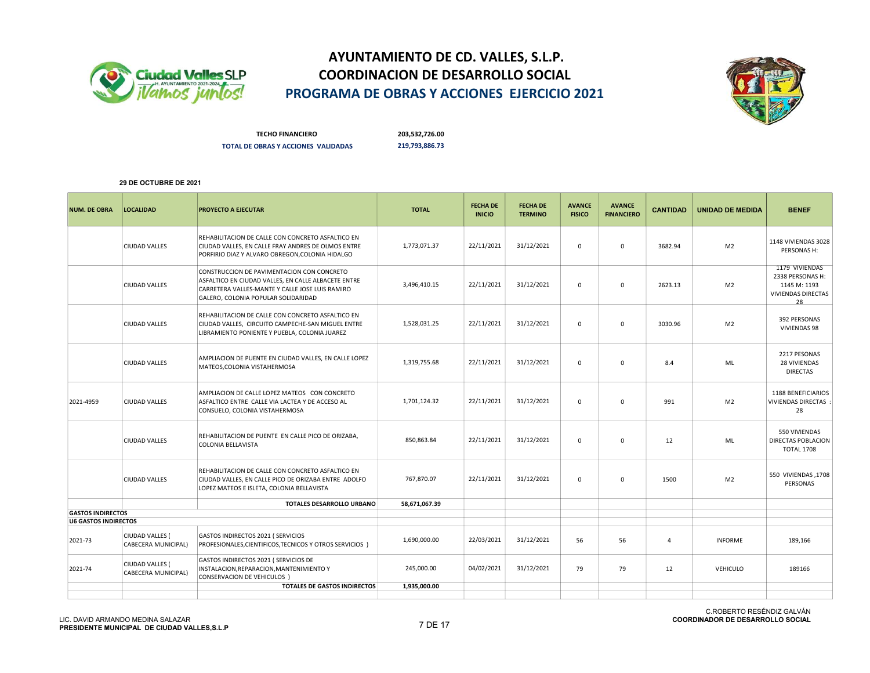



TECHO FINANCIERO 203,532,726.00 TOTAL DE OBRAS Y ACCIONES VALIDADAS 219,793,886.73

| <b>NUM. DE OBRA</b>         | <b>LOCALIDAD</b>                       | <b>PROYECTO A EJECUTAR</b>                                                                                                                                                                  | <b>TOTAL</b>  | <b>FECHA DE</b><br><b>INICIO</b> | <b>FECHA DE</b><br><b>TERMINO</b> | <b>AVANCE</b><br><b>FISICO</b> | <b>AVANCE</b><br><b>FINANCIERO</b> | <b>CANTIDAD</b> | <b>UNIDAD DE MEDIDA</b> | <b>BENEF</b>                                                                   |
|-----------------------------|----------------------------------------|---------------------------------------------------------------------------------------------------------------------------------------------------------------------------------------------|---------------|----------------------------------|-----------------------------------|--------------------------------|------------------------------------|-----------------|-------------------------|--------------------------------------------------------------------------------|
|                             | <b>CIUDAD VALLES</b>                   | REHABILITACION DE CALLE CON CONCRETO ASFALTICO EN<br>CIUDAD VALLES, EN CALLE FRAY ANDRES DE OLMOS ENTRE<br>PORFIRIO DIAZ Y ALVARO OBREGON, COLONIA HIDALGO                                  | 1,773,071.37  | 22/11/2021                       | 31/12/2021                        | 0                              | $\mathbf 0$                        | 3682.94         | M <sub>2</sub>          | 1148 VIVIENDAS 3028<br>PERSONAS H:                                             |
|                             | <b>CIUDAD VALLES</b>                   | CONSTRUCCION DE PAVIMENTACION CON CONCRETO<br>ASFALTICO EN CIUDAD VALLES, EN CALLE ALBACETE ENTRE<br>CARRETERA VALLES-MANTE Y CALLE JOSE LUIS RAMIRO<br>GALERO, COLONIA POPULAR SOLIDARIDAD | 3,496,410.15  | 22/11/2021                       | 31/12/2021                        | $\mathbf 0$                    | $\mathbf 0$                        | 2623.13         | M <sub>2</sub>          | 1179 VIVIENDAS<br>2338 PERSONAS H:<br>1145 M: 1193<br>VIVIENDAS DIRECTAS<br>28 |
|                             | <b>CIUDAD VALLES</b>                   | REHABILITACION DE CALLE CON CONCRETO ASFALTICO EN<br>CIUDAD VALLES, CIRCUITO CAMPECHE-SAN MIGUEL ENTRE<br>LIBRAMIENTO PONIENTE Y PUEBLA, COLONIA JUAREZ                                     | 1,528,031.25  | 22/11/2021                       | 31/12/2021                        | $\mathbf 0$                    | $\mathbf 0$                        | 3030.96         | M <sub>2</sub>          | 392 PERSONAS<br>VIVIENDAS 98                                                   |
|                             | <b>CIUDAD VALLES</b>                   | AMPLIACION DE PUENTE EN CIUDAD VALLES, EN CALLE LOPEZ<br>MATEOS, COLONIA VISTAHERMOSA                                                                                                       | 1,319,755.68  | 22/11/2021                       | 31/12/2021                        | 0                              | 0                                  | 8.4             | ML                      | 2217 PESONAS<br>28 VIVIENDAS<br><b>DIRECTAS</b>                                |
| 2021-4959                   | <b>CIUDAD VALLES</b>                   | AMPLIACION DE CALLE LOPEZ MATEOS CON CONCRETO<br>ASFALTICO ENTRE CALLE VIA LACTEA Y DE ACCESO AL<br>CONSUELO, COLONIA VISTAHERMOSA                                                          | 1,701,124.32  | 22/11/2021                       | 31/12/2021                        | $\mathbf 0$                    | $\mathbf 0$                        | 991             | M <sub>2</sub>          | 1188 BENEFICIARIOS<br><b>VIVIENDAS DIRECTAS:</b><br>28                         |
|                             | <b>CIUDAD VALLES</b>                   | REHABILITACION DE PUENTE EN CALLE PICO DE ORIZABA,<br><b>COLONIA BELLAVISTA</b>                                                                                                             | 850,863.84    | 22/11/2021                       | 31/12/2021                        | $\mathbf 0$                    | $\mathbf{0}$                       | 12              | ML                      | 550 VIVIENDAS<br>DIRECTAS POBLACION<br><b>TOTAL 1708</b>                       |
|                             | <b>CIUDAD VALLES</b>                   | REHABILITACION DE CALLE CON CONCRETO ASFALTICO EN<br>CIUDAD VALLES, EN CALLE PICO DE ORIZABA ENTRE ADOLFO<br>LOPEZ MATEOS E ISLETA, COLONIA BELLAVISTA                                      | 767,870.07    | 22/11/2021                       | 31/12/2021                        | $\mathbf 0$                    | $\mathbf 0$                        | 1500            | M <sub>2</sub>          | 550 VIVIENDAS, 1708<br>PERSONAS                                                |
|                             |                                        | TOTALES DESARROLLO URBANO                                                                                                                                                                   | 58,671,067.39 |                                  |                                   |                                |                                    |                 |                         |                                                                                |
| <b>GASTOS INDIRECTOS</b>    |                                        |                                                                                                                                                                                             |               |                                  |                                   |                                |                                    |                 |                         |                                                                                |
| <b>U6 GASTOS INDIRECTOS</b> |                                        |                                                                                                                                                                                             |               |                                  |                                   |                                |                                    |                 |                         |                                                                                |
| 2021-73                     | CIUDAD VALLES (<br>CABECERA MUNICIPAL) | GASTOS INDIRECTOS 2021 ( SERVICIOS<br>PROFESIONALES, CIENTIFICOS, TECNICOS Y OTROS SERVICIOS )                                                                                              | 1,690,000.00  | 22/03/2021                       | 31/12/2021                        | 56                             | 56                                 | $\overline{4}$  | <b>INFORME</b>          | 189,166                                                                        |
| 2021-74                     | CIUDAD VALLES (<br>CABECERA MUNICIPAL) | GASTOS INDIRECTOS 2021 ( SERVICIOS DE<br>INSTALACION, REPARACION, MANTENIMIENTO Y<br><b>CONSERVACION DE VEHICULOS</b> )                                                                     | 245,000.00    | 04/02/2021                       | 31/12/2021                        | 79                             | 79                                 | 12              | VEHICULO                | 189166                                                                         |
|                             |                                        | <b>TOTALES DE GASTOS INDIRECTOS</b>                                                                                                                                                         | 1,935,000.00  |                                  |                                   |                                |                                    |                 |                         |                                                                                |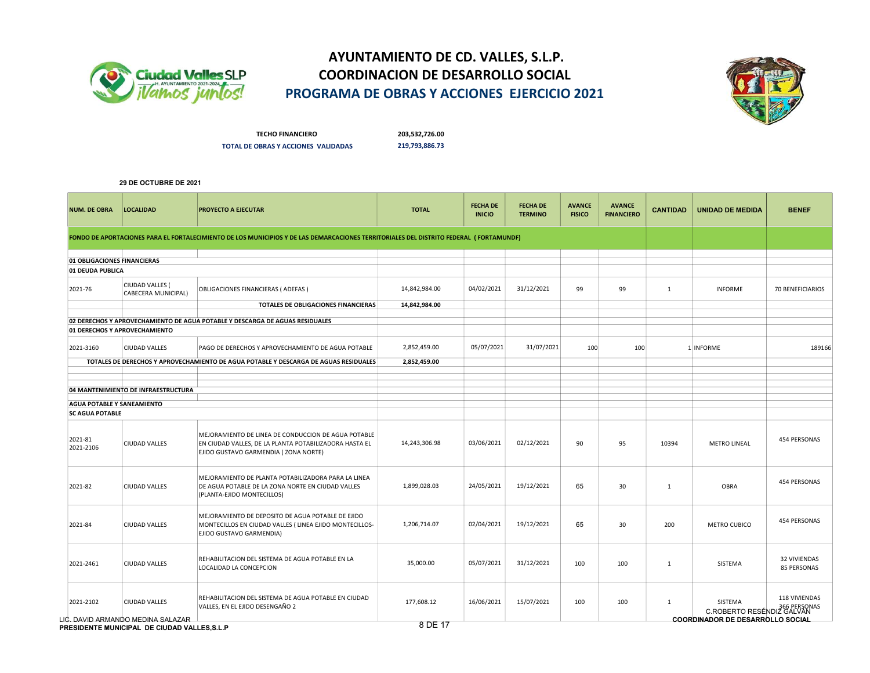



TECHO FINANCIERO 203,532,726.00 TOTAL DE OBRAS Y ACCIONES VALIDADAS 219,793,886.73

| <b>NUM. DE OBRA</b>         | <b>LOCALIDAD</b>                                                                  | PROYECTO A EJECUTAR                                                                                                                                   | <b>TOTAL</b>  | <b>FECHA DE</b><br><b>INICIO</b> | <b>FECHA DE</b><br><b>TERMINO</b> | <b>AVANCE</b><br><b>FISICO</b> | <b>AVANCE</b><br><b>FINANCIERO</b> | <b>CANTIDAD</b> | <b>UNIDAD DE MEDIDA</b>                 | <b>BENEF</b>                       |
|-----------------------------|-----------------------------------------------------------------------------------|-------------------------------------------------------------------------------------------------------------------------------------------------------|---------------|----------------------------------|-----------------------------------|--------------------------------|------------------------------------|-----------------|-----------------------------------------|------------------------------------|
|                             |                                                                                   | FONDO DE APORTACIONES PARA EL FORTALECIMIENTO DE LOS MUNICIPIOS Y DE LAS DEMARCACIONES TERRITORIALES DEL DISTRITO FEDERAL (FORTAMUNDF)                |               |                                  |                                   |                                |                                    |                 |                                         |                                    |
| 01 OBLIGACIONES FINANCIERAS |                                                                                   |                                                                                                                                                       |               |                                  |                                   |                                |                                    |                 |                                         |                                    |
| 01 DEUDA PUBLICA            |                                                                                   |                                                                                                                                                       |               |                                  |                                   |                                |                                    |                 |                                         |                                    |
| 2021-76                     | CIUDAD VALLES (<br>CABECERA MUNICIPAL)                                            | OBLIGACIONES FINANCIERAS (ADEFAS)                                                                                                                     | 14,842,984.00 | 04/02/2021                       | 31/12/2021                        | 99                             | 99                                 | 1               | <b>INFORME</b>                          | 70 BENEFICIARIOS                   |
|                             |                                                                                   | TOTALES DE OBLIGACIONES FINANCIERAS                                                                                                                   | 14,842,984.00 |                                  |                                   |                                |                                    |                 |                                         |                                    |
|                             |                                                                                   | 02 DERECHOS Y APROVECHAMIENTO DE AGUA POTABLE Y DESCARGA DE AGUAS RESIDUALES                                                                          |               |                                  |                                   |                                |                                    |                 |                                         |                                    |
|                             | 01 DERECHOS Y APROVECHAMIENTO                                                     |                                                                                                                                                       |               |                                  |                                   |                                |                                    |                 |                                         |                                    |
| 2021-3160                   | <b>CIUDAD VALLES</b>                                                              | PAGO DE DERECHOS Y APROVECHAMIENTO DE AGUA POTABLE                                                                                                    | 2,852,459.00  | 05/07/2021                       | 31/07/2021                        | 100                            | 100                                |                 | 1 INFORME                               | 189166                             |
|                             |                                                                                   | TOTALES DE DERECHOS Y APROVECHAMIENTO DE AGUA POTABLE Y DESCARGA DE AGUAS RESIDUALES                                                                  | 2,852,459.00  |                                  |                                   |                                |                                    |                 |                                         |                                    |
|                             |                                                                                   |                                                                                                                                                       |               |                                  |                                   |                                |                                    |                 |                                         |                                    |
|                             | 04 MANTENIMIENTO DE INFRAESTRUCTURA                                               |                                                                                                                                                       |               |                                  |                                   |                                |                                    |                 |                                         |                                    |
| AGUA POTABLE Y SANEAMIENTO  |                                                                                   |                                                                                                                                                       |               |                                  |                                   |                                |                                    |                 |                                         |                                    |
| <b>SC AGUA POTABLE</b>      |                                                                                   |                                                                                                                                                       |               |                                  |                                   |                                |                                    |                 |                                         |                                    |
| 2021-81<br>2021-2106        | <b>CIUDAD VALLES</b>                                                              | MEJORAMIENTO DE LINEA DE CONDUCCION DE AGUA POTABLE<br>EN CIUDAD VALLES, DE LA PLANTA POTABILIZADORA HASTA EL<br>EJIDO GUSTAVO GARMENDIA (ZONA NORTE) | 14,243,306.98 | 03/06/2021                       | 02/12/2021                        | 90                             | 95                                 | 10394           | <b>METRO LINEAL</b>                     | 454 PERSONAS                       |
| 2021-82                     | <b>CIUDAD VALLES</b>                                                              | MEJORAMIENTO DE PLANTA POTABILIZADORA PARA LA LINEA<br>DE AGUA POTABLE DE LA ZONA NORTE EN CIUDAD VALLES<br>(PLANTA-EJIDO MONTECILLOS)                | 1,899,028.03  | 24/05/2021                       | 19/12/2021                        | 65                             | 30                                 | $\mathbf{1}$    | OBRA                                    | 454 PERSONAS                       |
| 2021-84                     | <b>CIUDAD VALLES</b>                                                              | MEJORAMIENTO DE DEPOSITO DE AGUA POTABLE DE EJIDO<br>MONTECILLOS EN CIUDAD VALLES (LINEA EJIDO MONTECILLOS-<br>EJIDO GUSTAVO GARMENDIA)               | 1,206,714.07  | 02/04/2021                       | 19/12/2021                        | 65                             | 30                                 | 200             | METRO CUBICO                            | 454 PERSONAS                       |
| 2021-2461                   | <b>CIUDAD VALLES</b>                                                              | REHABILITACION DEL SISTEMA DE AGUA POTABLE EN LA<br>LOCALIDAD LA CONCEPCION                                                                           | 35,000.00     | 05/07/2021                       | 31/12/2021                        | 100                            | 100                                | $\mathbf{1}$    | SISTEMA                                 | <b>32 VIVIENDAS</b><br>85 PERSONAS |
| 2021-2102                   | <b>CIUDAD VALLES</b>                                                              | REHABILITACION DEL SISTEMA DE AGUA POTABLE EN CIUDAD<br>VALLES, EN EL EJIDO DESENGAÑO 2                                                               | 177,608.12    | 16/06/2021                       | 15/07/2021                        | 100                            | 100                                | $\mathbf{1}$    | SISTEMA<br>366 PERSONAS                 | 118 VIVIENDAS                      |
|                             | LIC. DAVID ARMANDO MEDINA SALAZAR<br>PRESIDENTE MUNICIPAL DE CIUDAD VALLES, S.L.P |                                                                                                                                                       | 8 DE 17       |                                  |                                   |                                |                                    |                 | <b>COORDINADOR DE DESARROLLO SOCIAL</b> |                                    |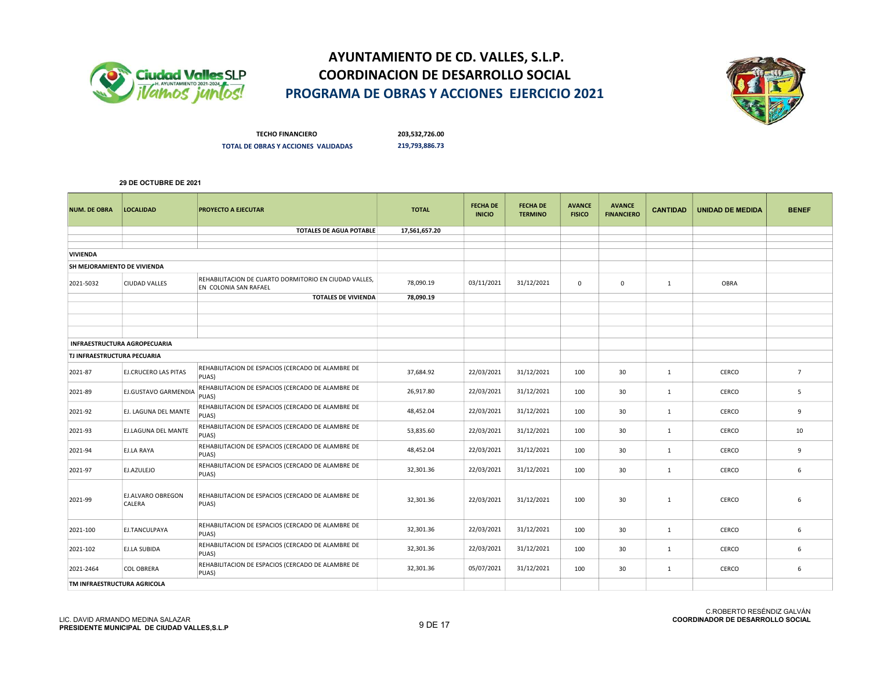



TECHO FINANCIERO 203,532,726.00 TOTAL DE OBRAS Y ACCIONES VALIDADAS 219,793,886.73

| <b>NUM. DE OBRA</b>         | <b>LOCALIDAD</b>                    | <b>PROYECTO A EJECUTAR</b>                                                     | <b>TOTAL</b>  | <b>FECHA DE</b><br><b>INICIO</b> | <b>FECHA DE</b><br><b>TERMINO</b> | <b>AVANCE</b><br><b>FISICO</b> | <b>AVANCE</b><br><b>FINANCIERO</b> | <b>CANTIDAD</b> | <b>UNIDAD DE MEDIDA</b> | <b>BENEF</b>    |
|-----------------------------|-------------------------------------|--------------------------------------------------------------------------------|---------------|----------------------------------|-----------------------------------|--------------------------------|------------------------------------|-----------------|-------------------------|-----------------|
|                             |                                     | <b>TOTALES DE AGUA POTABLE</b>                                                 | 17,561,657.20 |                                  |                                   |                                |                                    |                 |                         |                 |
|                             |                                     |                                                                                |               |                                  |                                   |                                |                                    |                 |                         |                 |
| <b>VIVIENDA</b>             |                                     |                                                                                |               |                                  |                                   |                                |                                    |                 |                         |                 |
| SH MEJORAMIENTO DE VIVIENDA |                                     |                                                                                |               |                                  |                                   |                                |                                    |                 |                         |                 |
| 2021-5032                   | CIUDAD VALLES                       | REHABILITACION DE CUARTO DORMITORIO EN CIUDAD VALLES,<br>EN COLONIA SAN RAFAEL | 78.090.19     | 03/11/2021                       | 31/12/2021                        | $\mathbf 0$                    | $\mathsf 0$                        | 1               | OBRA                    |                 |
|                             |                                     | <b>TOTALES DE VIVIENDA</b>                                                     | 78,090.19     |                                  |                                   |                                |                                    |                 |                         |                 |
|                             |                                     |                                                                                |               |                                  |                                   |                                |                                    |                 |                         |                 |
|                             |                                     |                                                                                |               |                                  |                                   |                                |                                    |                 |                         |                 |
|                             |                                     |                                                                                |               |                                  |                                   |                                |                                    |                 |                         |                 |
|                             | <b>INFRAESTRUCTURA AGROPECUARIA</b> |                                                                                |               |                                  |                                   |                                |                                    |                 |                         |                 |
| TJ INFRAESTRUCTURA PECUARIA |                                     |                                                                                |               |                                  |                                   |                                |                                    |                 |                         |                 |
| 2021-87                     | EJ.CRUCERO LAS PITAS                | REHABILITACION DE ESPACIOS (CERCADO DE ALAMBRE DE<br>PUAS)                     | 37,684.92     | 22/03/2021                       | 31/12/2021                        | 100                            | 30                                 | $\mathbf{1}$    | CERCO                   | $7\overline{ }$ |
| 2021-89                     | EJ.GUSTAVO GARMENDIA                | REHABILITACION DE ESPACIOS (CERCADO DE ALAMBRE DE<br>PUAS)                     | 26,917.80     | 22/03/2021                       | 31/12/2021                        | 100                            | 30                                 | 1               | CERCO                   | 5               |
| 2021-92                     | EJ. LAGUNA DEL MANTE                | REHABILITACION DE ESPACIOS (CERCADO DE ALAMBRE DE<br>PUAS)                     | 48,452.04     | 22/03/2021                       | 31/12/2021                        | 100                            | 30                                 | 1               | CERCO                   | 9               |
| 2021-93                     | EJ.LAGUNA DEL MANTE                 | REHABILITACION DE ESPACIOS (CERCADO DE ALAMBRE DE<br>PUAS)                     | 53,835.60     | 22/03/2021                       | 31/12/2021                        | 100                            | 30                                 | $\mathbf{1}$    | CERCO                   | 10              |
| 2021-94                     | EJ.LA RAYA                          | REHABILITACION DE ESPACIOS (CERCADO DE ALAMBRE DE<br>PUAS)                     | 48,452.04     | 22/03/2021                       | 31/12/2021                        | 100                            | 30                                 | 1               | CERCO                   | 9               |
| 2021-97                     | EJ.AZULEJO                          | REHABILITACION DE ESPACIOS (CERCADO DE ALAMBRE DE<br>PUAS)                     | 32,301.36     | 22/03/2021                       | 31/12/2021                        | 100                            | 30                                 | 1               | CERCO                   | 6               |
| 2021-99                     | EJ.ALVARO OBREGON<br>CALERA         | REHABILITACION DE ESPACIOS (CERCADO DE ALAMBRE DE<br>PUAS)                     | 32,301.36     | 22/03/2021                       | 31/12/2021                        | 100                            | 30                                 | $\mathbf{1}$    | CERCO                   | 6               |
| 2021-100                    | EJ.TANCULPAYA                       | REHABILITACION DE ESPACIOS (CERCADO DE ALAMBRE DE<br>PUAS)                     | 32,301.36     | 22/03/2021                       | 31/12/2021                        | 100                            | 30                                 | $\mathbf{1}$    | CERCO                   | 6               |
| 2021-102                    | EJ.LA SUBIDA                        | REHABILITACION DE ESPACIOS (CERCADO DE ALAMBRE DE<br>PUAS)                     | 32,301.36     | 22/03/2021                       | 31/12/2021                        | 100                            | 30                                 | 1               | CERCO                   | 6               |
| 2021-2464                   | <b>COL OBRERA</b>                   | REHABILITACION DE ESPACIOS (CERCADO DE ALAMBRE DE<br>PUAS)                     | 32,301.36     | 05/07/2021                       | 31/12/2021                        | 100                            | 30                                 | $\mathbf{1}$    | CERCO                   | 6               |
| TM INFRAESTRUCTURA AGRICOLA |                                     |                                                                                |               |                                  |                                   |                                |                                    |                 |                         |                 |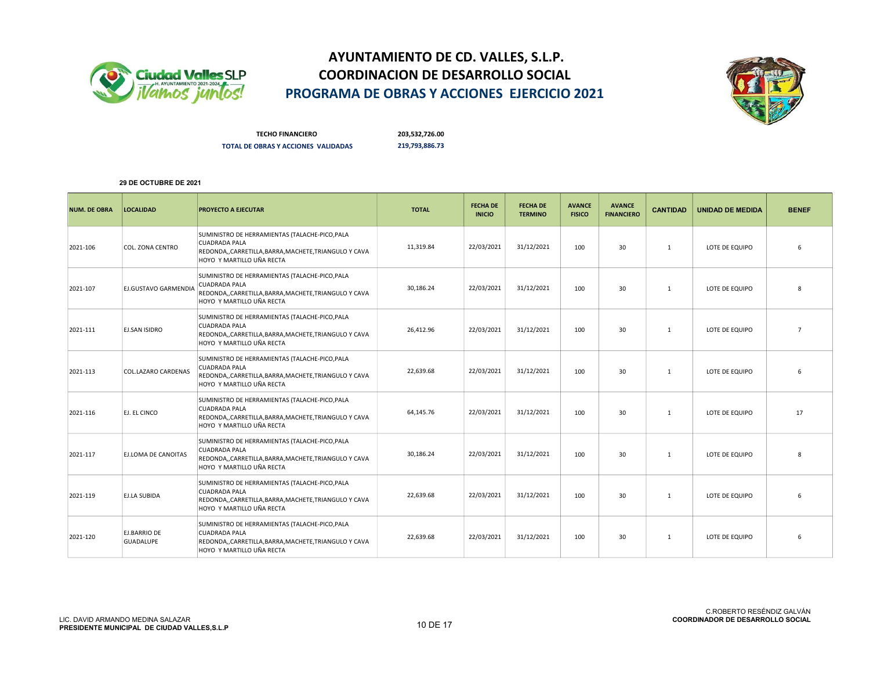



TECHO FINANCIERO 203,532,726.00 TOTAL DE OBRAS Y ACCIONES VALIDADAS 219,793,886.73

| <b>NUM. DE OBRA</b> | <b>LOCALIDAD</b>                        | <b>PROYECTO A EJECUTAR</b>                                                                                                                                    | <b>TOTAL</b> | <b>FECHA DE</b><br><b>INICIO</b> | <b>FECHA DE</b><br><b>TERMINO</b> | <b>AVANCE</b><br><b>FISICO</b> | <b>AVANCE</b><br><b>FINANCIERO</b> | <b>CANTIDAD</b> | <b>UNIDAD DE MEDIDA</b> | <b>BENEF</b>   |
|---------------------|-----------------------------------------|---------------------------------------------------------------------------------------------------------------------------------------------------------------|--------------|----------------------------------|-----------------------------------|--------------------------------|------------------------------------|-----------------|-------------------------|----------------|
| 2021-106            | COL. ZONA CENTRO                        | SUMINISTRO DE HERRAMIENTAS (TALACHE-PICO, PALA<br><b>CUADRADA PALA</b><br>REDONDA,,CARRETILLA,BARRA,MACHETE,TRIANGULO Y CAVA<br>HOYO Y MARTILLO UÑA RECTA     | 11,319.84    | 22/03/2021                       | 31/12/2021                        | 100                            | 30                                 | 1               | LOTE DE EQUIPO          | 6              |
| 2021-107            | <b>EJ.GUSTAVO GARMENDIA</b>             | SUMINISTRO DE HERRAMIENTAS (TALACHE-PICO, PALA<br><b>CUADRADA PALA</b><br>REDONDA,,CARRETILLA,BARRA,MACHETE,TRIANGULO Y CAVA<br>HOYO Y MARTILLO UÑA RECTA     | 30,186.24    | 22/03/2021                       | 31/12/2021                        | 100                            | 30                                 | 1               | LOTE DE EQUIPO          | $\mathbf{R}$   |
| 2021-111            | <b>EJ.SAN ISIDRO</b>                    | SUMINISTRO DE HERRAMIENTAS (TALACHE-PICO, PALA<br><b>CUADRADA PALA</b><br>REDONDA,, CARRETILLA, BARRA, MACHETE, TRIANGULO Y CAVA<br>HOYO Y MARTILLO UÑA RECTA | 26,412.96    | 22/03/2021                       | 31/12/2021                        | 100                            | 30                                 | 1               | LOTE DE EQUIPO          | $\overline{7}$ |
| 2021-113            | COL.LAZARO CARDENAS                     | SUMINISTRO DE HERRAMIENTAS (TALACHE-PICO, PALA<br><b>CUADRADA PALA</b><br>REDONDA,,CARRETILLA,BARRA,MACHETE,TRIANGULO Y CAVA<br>HOYO Y MARTILLO UÑA RECTA     | 22,639.68    | 22/03/2021                       | 31/12/2021                        | 100                            | 30                                 | 1               | LOTE DE EQUIPO          | 6              |
| 2021-116            | EJ. EL CINCO                            | SUMINISTRO DE HERRAMIENTAS (TALACHE-PICO, PALA<br><b>CUADRADA PALA</b><br>REDONDA,,CARRETILLA,BARRA,MACHETE,TRIANGULO Y CAVA<br>HOYO Y MARTILLO UÑA RECTA     | 64,145.76    | 22/03/2021                       | 31/12/2021                        | 100                            | 30                                 | 1               | LOTE DE EQUIPO          | 17             |
| 2021-117            | <b>EJ.LOMA DE CANOITAS</b>              | SUMINISTRO DE HERRAMIENTAS (TALACHE-PICO, PALA<br><b>CUADRADA PALA</b><br>REDONDA,, CARRETILLA, BARRA, MACHETE, TRIANGULO Y CAVA<br>HOYO Y MARTILLO UÑA RECTA | 30,186.24    | 22/03/2021                       | 31/12/2021                        | 100                            | 30                                 | 1               | LOTE DE EQUIPO          | 8              |
| 2021-119            | <b>EJ.LA SUBIDA</b>                     | SUMINISTRO DE HERRAMIENTAS (TALACHE-PICO, PALA<br>CUADRADA PALA<br>REDONDA,,CARRETILLA,BARRA,MACHETE,TRIANGULO Y CAVA<br>HOYO Y MARTILLO UÑA RECTA            | 22,639.68    | 22/03/2021                       | 31/12/2021                        | 100                            | 30                                 | 1               | LOTE DE EQUIPO          | 6              |
| 2021-120            | <b>EJ.BARRIO DE</b><br><b>GUADALUPE</b> | SUMINISTRO DE HERRAMIENTAS (TALACHE-PICO, PALA<br><b>CUADRADA PALA</b><br>REDONDA,,CARRETILLA,BARRA,MACHETE,TRIANGULO Y CAVA<br>HOYO Y MARTILLO UÑA RECTA     | 22,639.68    | 22/03/2021                       | 31/12/2021                        | 100                            | 30                                 | 1               | LOTE DE EQUIPO          | 6              |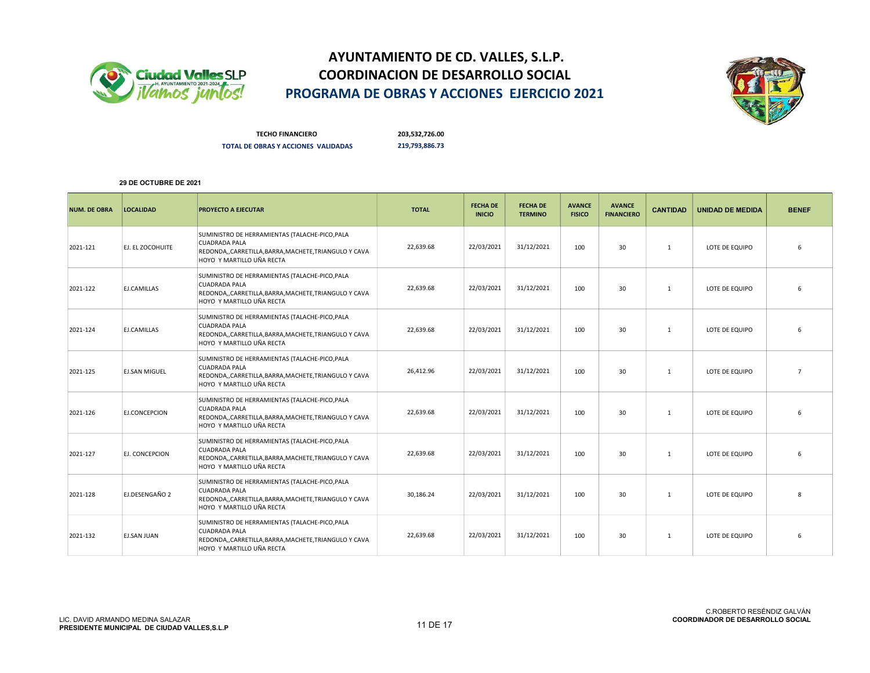



TECHO FINANCIERO 203,532,726.00 TOTAL DE OBRAS Y ACCIONES VALIDADAS 219,793,886.73

| <b>NUM. DE OBRA</b> | <b>LOCALIDAD</b>     | <b>PROYECTO A EJECUTAR</b>                                                                                                                                    | <b>TOTAL</b> | <b>FECHA DE</b><br><b>INICIO</b> | <b>FECHA DE</b><br><b>TERMINO</b> | <b>AVANCE</b><br><b>FISICO</b> | <b>AVANCE</b><br><b>FINANCIERO</b> | <b>CANTIDAD</b> | <b>UNIDAD DE MEDIDA</b> | <b>BENEF</b>    |
|---------------------|----------------------|---------------------------------------------------------------------------------------------------------------------------------------------------------------|--------------|----------------------------------|-----------------------------------|--------------------------------|------------------------------------|-----------------|-------------------------|-----------------|
| 2021-121            | EJ. EL ZOCOHUITE     | SUMINISTRO DE HERRAMIENTAS (TALACHE-PICO, PALA<br><b>CUADRADA PALA</b><br>REDONDA,,CARRETILLA,BARRA,MACHETE,TRIANGULO Y CAVA<br>HOYO Y MARTILLO UÑA RECTA     | 22,639.68    | 22/03/2021                       | 31/12/2021                        | 100                            | 30                                 | 1               | LOTE DE EQUIPO          | 6               |
| 2021-122            | EJ.CAMILLAS          | SUMINISTRO DE HERRAMIENTAS (TALACHE-PICO, PALA<br><b>CUADRADA PALA</b><br>REDONDA,,CARRETILLA,BARRA,MACHETE,TRIANGULO Y CAVA<br>HOYO Y MARTILLO UÑA RECTA     | 22,639.68    | 22/03/2021                       | 31/12/2021                        | 100                            | 30                                 | 1               | LOTE DE EQUIPO          | 6               |
| 2021-124            | <b>ELCAMILLAS</b>    | SUMINISTRO DE HERRAMIENTAS (TALACHE-PICO, PALA<br>CUADRADA PALA<br>REDONDA,,CARRETILLA,BARRA,MACHETE,TRIANGULO Y CAVA<br>HOYO Y MARTILLO UÑA RECTA            | 22,639.68    | 22/03/2021                       | 31/12/2021                        | 100                            | 30                                 | 1               | LOTE DE EQUIPO          | 6               |
| 2021-125            | <b>EJ.SAN MIGUEL</b> | SUMINISTRO DE HERRAMIENTAS (TALACHE-PICO, PALA<br><b>CUADRADA PALA</b><br>REDONDA,,CARRETILLA,BARRA,MACHETE,TRIANGULO Y CAVA<br>HOYO Y MARTILLO UÑA RECTA     | 26,412.96    | 22/03/2021                       | 31/12/2021                        | 100                            | 30                                 | 1               | LOTE DE EQUIPO          | $\overline{7}$  |
| 2021-126            | EJ.CONCEPCION        | SUMINISTRO DE HERRAMIENTAS (TALACHE-PICO, PALA<br><b>CUADRADA PALA</b><br>REDONDA,,CARRETILLA,BARRA,MACHETE,TRIANGULO Y CAVA<br>HOYO Y MARTILLO UÑA RECTA     | 22,639.68    | 22/03/2021                       | 31/12/2021                        | 100                            | 30                                 | 1               | LOTE DE EQUIPO          | 6               |
| 2021-127            | EJ. CONCEPCION       | SUMINISTRO DE HERRAMIENTAS (TALACHE-PICO, PALA<br><b>CUADRADA PALA</b><br>REDONDA,, CARRETILLA, BARRA, MACHETE, TRIANGULO Y CAVA<br>HOYO Y MARTILLO UÑA RECTA | 22,639.68    | 22/03/2021                       | 31/12/2021                        | 100                            | 30                                 | 1               | LOTE DE EQUIPO          | 6               |
| 2021-128            | EJ.DESENGAÑO 2       | SUMINISTRO DE HERRAMIENTAS (TALACHE-PICO, PALA<br><b>CUADRADA PALA</b><br>REDONDA,,CARRETILLA,BARRA,MACHETE,TRIANGULO Y CAVA<br>HOYO Y MARTILLO UÑA RECTA     | 30,186.24    | 22/03/2021                       | 31/12/2021                        | 100                            | 30                                 | 1               | LOTE DE EQUIPO          | $\mathbf{8}$    |
| 2021-132            | EJ.SAN JUAN          | SUMINISTRO DE HERRAMIENTAS (TALACHE-PICO, PALA<br><b>CUADRADA PALA</b><br>REDONDA,,CARRETILLA,BARRA,MACHETE,TRIANGULO Y CAVA<br>HOYO Y MARTILLO UÑA RECTA     | 22,639.68    | 22/03/2021                       | 31/12/2021                        | 100                            | 30                                 | 1               | LOTE DE EQUIPO          | $6\overline{6}$ |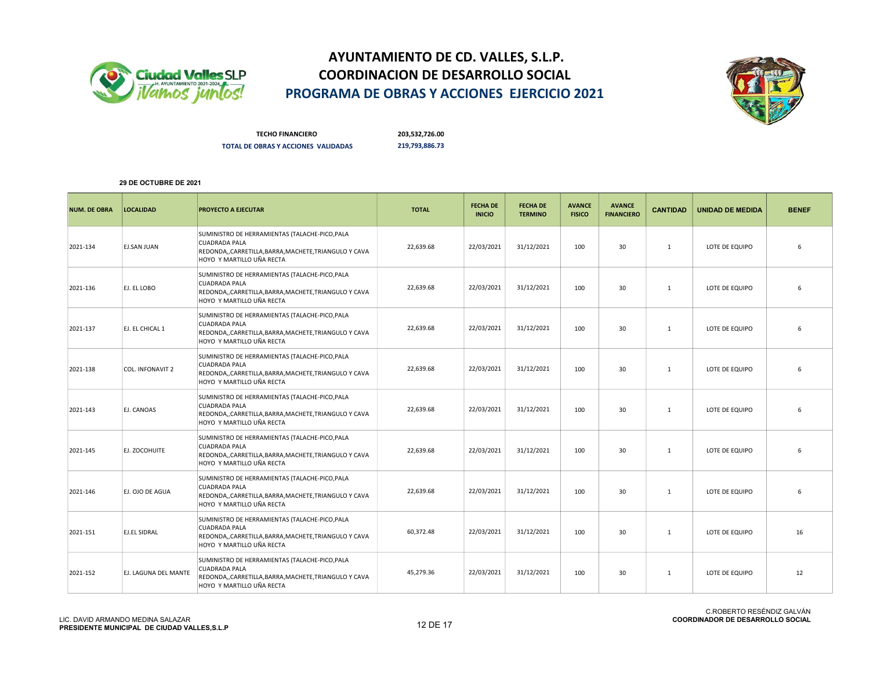



TECHO FINANCIERO 203,532,726.00 TOTAL DE OBRAS Y ACCIONES VALIDADAS 219,793,886.73

| <b>NUM. DE OBRA</b> | <b>LOCALIDAD</b>        | <b>PROYECTO A EJECUTAR</b>                                                                                                                                    | <b>TOTAL</b> | <b>FECHA DE</b><br><b>INICIO</b> | <b>FECHA DE</b><br><b>TERMINO</b> | <b>AVANCE</b><br><b>FISICO</b> | <b>AVANCE</b><br><b>FINANCIERO</b> | <b>CANTIDAD</b> | <b>UNIDAD DE MEDIDA</b> | <b>BENEF</b> |
|---------------------|-------------------------|---------------------------------------------------------------------------------------------------------------------------------------------------------------|--------------|----------------------------------|-----------------------------------|--------------------------------|------------------------------------|-----------------|-------------------------|--------------|
| 2021-134            | <b>EJ.SAN JUAN</b>      | SUMINISTRO DE HERRAMIENTAS (TALACHE-PICO, PALA<br><b>CUADRADA PALA</b><br>REDONDA,, CARRETILLA, BARRA, MACHETE, TRIANGULO Y CAVA<br>HOYO Y MARTILLO UÑA RECTA | 22,639.68    | 22/03/2021                       | 31/12/2021                        | 100                            | 30                                 | $\mathbf{1}$    | LOTE DE EQUIPO          | 6            |
| 2021-136            | EJ. EL LOBO             | SUMINISTRO DE HERRAMIENTAS (TALACHE-PICO, PALA<br><b>CUADRADA PALA</b><br>REDONDA,,CARRETILLA,BARRA,MACHETE,TRIANGULO Y CAVA<br>HOYO Y MARTILLO UÑA RECTA     | 22,639.68    | 22/03/2021                       | 31/12/2021                        | 100                            | 30                                 | $\mathbf{1}$    | LOTE DE EQUIPO          | 6            |
| 2021-137            | EJ. EL CHICAL 1         | SUMINISTRO DE HERRAMIENTAS (TALACHE-PICO, PALA<br><b>CUADRADA PALA</b><br>REDONDA,,CARRETILLA,BARRA,MACHETE,TRIANGULO Y CAVA<br>HOYO Y MARTILLO UÑA RECTA     | 22,639.68    | 22/03/2021                       | 31/12/2021                        | 100                            | 30                                 | $\mathbf{1}$    | LOTE DE EQUIPO          | 6            |
| 2021-138            | <b>COL. INFONAVIT 2</b> | SUMINISTRO DE HERRAMIENTAS (TALACHE-PICO, PALA<br><b>CUADRADA PALA</b><br>REDONDA,,CARRETILLA,BARRA,MACHETE,TRIANGULO Y CAVA<br>HOYO Y MARTILLO UÑA RECTA     | 22,639.68    | 22/03/2021                       | 31/12/2021                        | 100                            | 30                                 | 1               | LOTE DE EQUIPO          | 6            |
| 2021-143            | EJ. CANOAS              | SUMINISTRO DE HERRAMIENTAS (TALACHE-PICO, PALA<br><b>CUADRADA PALA</b><br>REDONDA,,CARRETILLA,BARRA,MACHETE,TRIANGULO Y CAVA<br>HOYO Y MARTILLO UÑA RECTA     | 22,639.68    | 22/03/2021                       | 31/12/2021                        | 100                            | 30                                 | 1               | LOTE DE EQUIPO          | 6            |
| 2021-145            | EJ. ZOCOHUITE           | SUMINISTRO DE HERRAMIENTAS (TALACHE-PICO, PALA<br>CUADRADA PALA<br>REDONDA,, CARRETILLA, BARRA, MACHETE, TRIANGULO Y CAVA<br>HOYO Y MARTILLO UÑA RECTA        | 22,639.68    | 22/03/2021                       | 31/12/2021                        | 100                            | 30                                 | $\mathbf{1}$    | LOTE DE EQUIPO          | 6            |
| 2021-146            | EJ. OJO DE AGUA         | SUMINISTRO DE HERRAMIENTAS (TALACHE-PICO, PALA<br><b>CUADRADA PALA</b><br>REDONDA,,CARRETILLA,BARRA,MACHETE,TRIANGULO Y CAVA<br>HOYO Y MARTILLO UÑA RECTA     | 22,639.68    | 22/03/2021                       | 31/12/2021                        | 100                            | 30                                 | $\mathbf{1}$    | LOTE DE EQUIPO          | 6            |
| 2021-151            | <b>EJ.EL SIDRAL</b>     | SUMINISTRO DE HERRAMIENTAS (TALACHE-PICO, PALA<br><b>CUADRADA PALA</b><br>REDONDA,,CARRETILLA,BARRA,MACHETE,TRIANGULO Y CAVA<br>HOYO Y MARTILLO UÑA RECTA     | 60,372.48    | 22/03/2021                       | 31/12/2021                        | 100                            | 30                                 | $\mathbf{1}$    | LOTE DE EQUIPO          | 16           |
| 2021-152            | EJ. LAGUNA DEL MANTE    | SUMINISTRO DE HERRAMIENTAS (TALACHE-PICO, PALA<br><b>CUADRADA PALA</b><br>REDONDA,,CARRETILLA,BARRA,MACHETE,TRIANGULO Y CAVA<br>HOYO Y MARTILLO UÑA RECTA     | 45,279.36    | 22/03/2021                       | 31/12/2021                        | 100                            | 30                                 | 1               | LOTE DE EQUIPO          | 12           |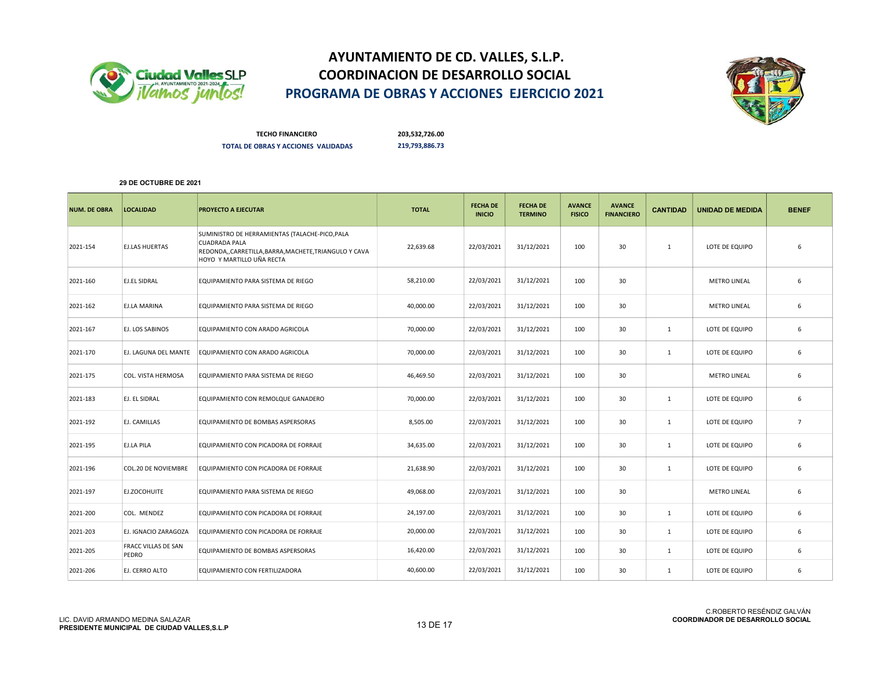



TECHO FINANCIERO 203,532,726.00 TOTAL DE OBRAS Y ACCIONES VALIDADAS 219,793,886.73

| <b>NUM. DE OBRA</b> | <b>LOCALIDAD</b>             | <b>PROYECTO A EJECUTAR</b>                                                                                                                                | <b>TOTAL</b> | <b>FECHA DE</b><br><b>INICIO</b> | <b>FECHA DE</b><br><b>TERMINO</b> | <b>AVANCE</b><br><b>FISICO</b> | <b>AVANCE</b><br><b>FINANCIERO</b> | <b>CANTIDAD</b> | <b>UNIDAD DE MEDIDA</b> | <b>BENEF</b>   |
|---------------------|------------------------------|-----------------------------------------------------------------------------------------------------------------------------------------------------------|--------------|----------------------------------|-----------------------------------|--------------------------------|------------------------------------|-----------------|-------------------------|----------------|
| 2021-154            | <b>EJ.LAS HUERTAS</b>        | SUMINISTRO DE HERRAMIENTAS (TALACHE-PICO, PALA<br><b>CUADRADA PALA</b><br>REDONDA,,CARRETILLA,BARRA,MACHETE,TRIANGULO Y CAVA<br>HOYO Y MARTILLO UÑA RECTA | 22,639.68    | 22/03/2021                       | 31/12/2021                        | 100                            | 30                                 | $\mathbf{1}$    | LOTE DE EQUIPO          | 6              |
| 2021-160            | EJ.EL SIDRAL                 | EQUIPAMIENTO PARA SISTEMA DE RIEGO                                                                                                                        | 58,210.00    | 22/03/2021                       | 31/12/2021                        | 100                            | 30                                 |                 | <b>METRO LINEAL</b>     | 6              |
| 2021-162            | EJ.LA MARINA                 | EQUIPAMIENTO PARA SISTEMA DE RIEGO                                                                                                                        | 40,000.00    | 22/03/2021                       | 31/12/2021                        | 100                            | 30                                 |                 | <b>METRO LINEAL</b>     | 6              |
| 2021-167            | EJ. LOS SABINOS              | EQUIPAMIENTO CON ARADO AGRICOLA                                                                                                                           | 70,000.00    | 22/03/2021                       | 31/12/2021                        | 100                            | 30                                 | $\mathbf{1}$    | LOTE DE EQUIPO          | 6              |
| 2021-170            | EJ. LAGUNA DEL MANTE         | EQUIPAMIENTO CON ARADO AGRICOLA                                                                                                                           | 70,000.00    | 22/03/2021                       | 31/12/2021                        | 100                            | 30                                 | $\mathbf{1}$    | LOTE DE EQUIPO          | 6              |
| 2021-175            | COL. VISTA HERMOSA           | EQUIPAMIENTO PARA SISTEMA DE RIEGO                                                                                                                        | 46,469.50    | 22/03/2021                       | 31/12/2021                        | 100                            | 30                                 |                 | <b>METRO LINEAL</b>     | 6              |
| 2021-183            | EJ. EL SIDRAL                | EQUIPAMIENTO CON REMOLQUE GANADERO                                                                                                                        | 70,000.00    | 22/03/2021                       | 31/12/2021                        | 100                            | 30                                 | $\mathbf{1}$    | LOTE DE EQUIPO          | 6              |
| 2021-192            | EJ. CAMILLAS                 | EQUIPAMIENTO DE BOMBAS ASPERSORAS                                                                                                                         | 8,505.00     | 22/03/2021                       | 31/12/2021                        | 100                            | 30                                 | $\mathbf{1}$    | LOTE DE EQUIPO          | $\overline{7}$ |
| 2021-195            | EJ.LA PILA                   | EQUIPAMIENTO CON PICADORA DE FORRAJE                                                                                                                      | 34,635.00    | 22/03/2021                       | 31/12/2021                        | 100                            | 30                                 | $\mathbf{1}$    | LOTE DE EQUIPO          | 6              |
| 2021-196            | <b>COL.20 DE NOVIEMBRE</b>   | EQUIPAMIENTO CON PICADORA DE FORRAJE                                                                                                                      | 21,638.90    | 22/03/2021                       | 31/12/2021                        | 100                            | 30                                 | $\mathbf{1}$    | LOTE DE EQUIPO          | 6              |
| 2021-197            | EJ.ZOCOHUITE                 | EQUIPAMIENTO PARA SISTEMA DE RIEGO                                                                                                                        | 49,068.00    | 22/03/2021                       | 31/12/2021                        | 100                            | 30                                 |                 | <b>METRO LINEAL</b>     | 6              |
| 2021-200            | COL. MENDEZ                  | EQUIPAMIENTO CON PICADORA DE FORRAJE                                                                                                                      | 24,197.00    | 22/03/2021                       | 31/12/2021                        | 100                            | 30                                 | $\mathbf{1}$    | LOTE DE EQUIPO          | 6              |
| 2021-203            | EJ. IGNACIO ZARAGOZA         | EQUIPAMIENTO CON PICADORA DE FORRAJE                                                                                                                      | 20,000.00    | 22/03/2021                       | 31/12/2021                        | 100                            | 30                                 | $\mathbf{1}$    | LOTE DE EQUIPO          | 6              |
| 2021-205            | FRACC VILLAS DE SAN<br>PEDRO | EQUIPAMIENTO DE BOMBAS ASPERSORAS                                                                                                                         | 16,420.00    | 22/03/2021                       | 31/12/2021                        | 100                            | 30                                 | 1               | LOTE DE EQUIPO          | 6              |
| 2021-206            | EJ. CERRO ALTO               | EQUIPAMIENTO CON FERTILIZADORA                                                                                                                            | 40,600.00    | 22/03/2021                       | 31/12/2021                        | 100                            | 30                                 | $\mathbf{1}$    | LOTE DE EQUIPO          | 6              |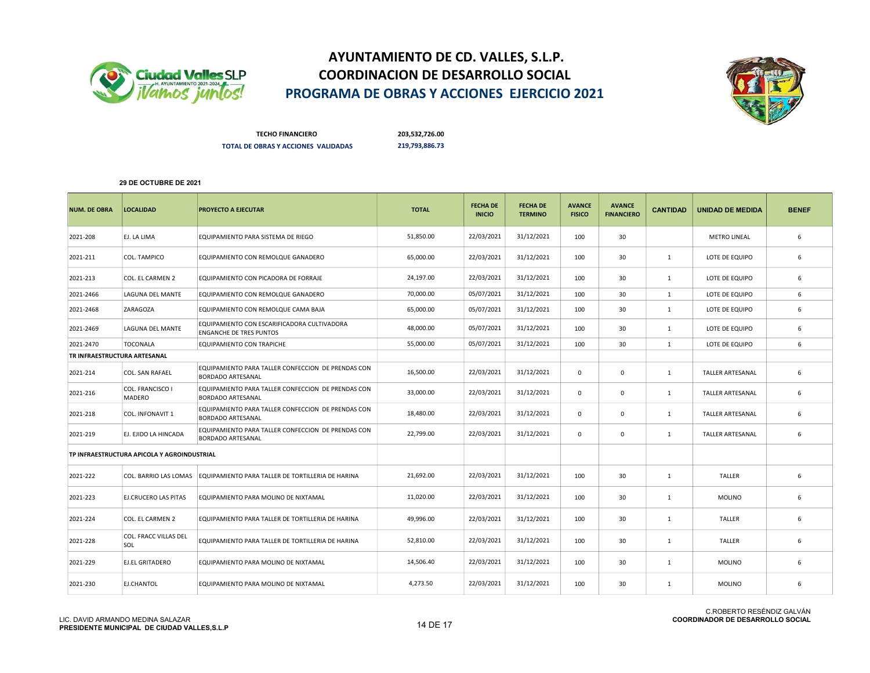



TECHO FINANCIERO 203,532,726.00 TOTAL DE OBRAS Y ACCIONES VALIDADAS 219,793,886.73

| <b>NUM. DE OBRA</b>          | <b>LOCALIDAD</b>                            | <b>PROYECTO A EJECUTAR</b>                                                     | <b>TOTAL</b> | <b>FECHA DE</b><br><b>INICIO</b> | <b>FECHA DE</b><br><b>TERMINO</b> | <b>AVANCE</b><br><b>FISICO</b> | <b>AVANCE</b><br><b>FINANCIERO</b> | <b>CANTIDAD</b> | <b>UNIDAD DE MEDIDA</b> | <b>BENEF</b> |
|------------------------------|---------------------------------------------|--------------------------------------------------------------------------------|--------------|----------------------------------|-----------------------------------|--------------------------------|------------------------------------|-----------------|-------------------------|--------------|
| 2021-208                     | EJ. LA LIMA                                 | EQUIPAMIENTO PARA SISTEMA DE RIEGO                                             | 51,850.00    | 22/03/2021                       | 31/12/2021                        | 100                            | 30                                 |                 | <b>METRO LINEAL</b>     | 6            |
| 2021-211                     | COL. TAMPICO                                | EQUIPAMIENTO CON REMOLQUE GANADERO                                             | 65,000.00    | 22/03/2021                       | 31/12/2021                        | 100                            | 30                                 | $\mathbf{1}$    | LOTE DE EQUIPO          | 6            |
| 2021-213                     | COL. EL CARMEN 2                            | EQUIPAMIENTO CON PICADORA DE FORRAJE                                           | 24,197.00    | 22/03/2021                       | 31/12/2021                        | 100                            | 30                                 | 1               | LOTE DE EQUIPO          | 6            |
| 2021-2466                    | LAGUNA DEL MANTE                            | EQUIPAMIENTO CON REMOLQUE GANADERO                                             | 70,000.00    | 05/07/2021                       | 31/12/2021                        | 100                            | 30                                 | $\mathbf{1}$    | LOTE DE EQUIPO          | 6            |
| 2021-2468                    | ZARAGOZA                                    | EQUIPAMIENTO CON REMOLQUE CAMA BAJA                                            | 65,000.00    | 05/07/2021                       | 31/12/2021                        | 100                            | 30                                 | 1               | LOTE DE EQUIPO          | 6            |
| 2021-2469                    | <b>LAGUNA DEL MANTE</b>                     | EQUIPAMIENTO CON ESCARIFICADORA CULTIVADORA<br><b>ENGANCHE DE TRES PUNTOS</b>  | 48,000.00    | 05/07/2021                       | 31/12/2021                        | 100                            | 30                                 | $\mathbf{1}$    | LOTE DE EQUIPO          | 6            |
| 2021-2470                    | <b>TOCONALA</b>                             | EQUIPAMIENTO CON TRAPICHE                                                      | 55,000.00    | 05/07/2021                       | 31/12/2021                        | 100                            | 30                                 | $\mathbf{1}$    | LOTE DE EQUIPO          | 6            |
| TR INFRAESTRUCTURA ARTESANAL |                                             |                                                                                |              |                                  |                                   |                                |                                    |                 |                         |              |
| 2021-214                     | COL. SAN RAFAEL                             | EQUIPAMIENTO PARA TALLER CONFECCION DE PRENDAS CON<br><b>BORDADO ARTESANAL</b> | 16,500.00    | 22/03/2021                       | 31/12/2021                        | $\mathbf{0}$                   | $\mathbf 0$                        | 1               | <b>TALLER ARTESANAL</b> | 6            |
| 2021-216                     | COL. FRANCISCO I<br><b>MADERO</b>           | EQUIPAMIENTO PARA TALLER CONFECCION DE PRENDAS CON<br><b>BORDADO ARTESANAL</b> | 33,000.00    | 22/03/2021                       | 31/12/2021                        | $\mathbf{0}$                   | $\mathbf{0}$                       | $\mathbf{1}$    | <b>TALLER ARTESANAL</b> | 6            |
| 2021-218                     | COL. INFONAVIT 1                            | EQUIPAMIENTO PARA TALLER CONFECCION DE PRENDAS CON<br><b>BORDADO ARTESANAL</b> | 18,480.00    | 22/03/2021                       | 31/12/2021                        | $\mathsf{o}$                   | $\mathbf 0$                        | 1               | TALLER ARTESANAL        | 6            |
| 2021-219                     | EJ. EJIDO LA HINCADA                        | EQUIPAMIENTO PARA TALLER CONFECCION DE PRENDAS CON<br><b>BORDADO ARTESANAL</b> | 22,799.00    | 22/03/2021                       | 31/12/2021                        | $\mathbf{0}$                   | $\mathbf 0$                        | $\mathbf{1}$    | <b>TALLER ARTESANAL</b> | 6            |
|                              | TP INFRAESTRUCTURA APICOLA Y AGROINDUSTRIAL |                                                                                |              |                                  |                                   |                                |                                    |                 |                         |              |
| 2021-222                     | COL. BARRIO LAS LOMAS                       | EQUIPAMIENTO PARA TALLER DE TORTILLERIA DE HARINA                              | 21,692.00    | 22/03/2021                       | 31/12/2021                        | 100                            | 30                                 | 1               | <b>TALLER</b>           | 6            |
| 2021-223                     | EJ.CRUCERO LAS PITAS                        | EQUIPAMIENTO PARA MOLINO DE NIXTAMAL                                           | 11,020.00    | 22/03/2021                       | 31/12/2021                        | 100                            | 30                                 | $\mathbf{1}$    | <b>MOLINO</b>           | 6            |
| 2021-224                     | COL. EL CARMEN 2                            | EQUIPAMIENTO PARA TALLER DE TORTILLERIA DE HARINA                              | 49,996.00    | 22/03/2021                       | 31/12/2021                        | 100                            | 30                                 | $\mathbf{1}$    | <b>TALLER</b>           | 6            |
| 2021-228                     | COL. FRACC VILLAS DEL<br>SOL                | EQUIPAMIENTO PARA TALLER DE TORTILLERIA DE HARINA                              | 52,810.00    | 22/03/2021                       | 31/12/2021                        | 100                            | 30                                 | $\mathbf{1}$    | <b>TALLER</b>           | 6            |
| 2021-229                     | <b>EJ.EL GRITADERO</b>                      | EQUIPAMIENTO PARA MOLINO DE NIXTAMAL                                           | 14,506.40    | 22/03/2021                       | 31/12/2021                        | 100                            | 30                                 | $\mathbf{1}$    | <b>MOLINO</b>           | 6            |
| 2021-230                     | EJ.CHANTOL                                  | EQUIPAMIENTO PARA MOLINO DE NIXTAMAL                                           | 4,273.50     | 22/03/2021                       | 31/12/2021                        | 100                            | 30                                 | $\mathbf{1}$    | <b>MOLINO</b>           | 6            |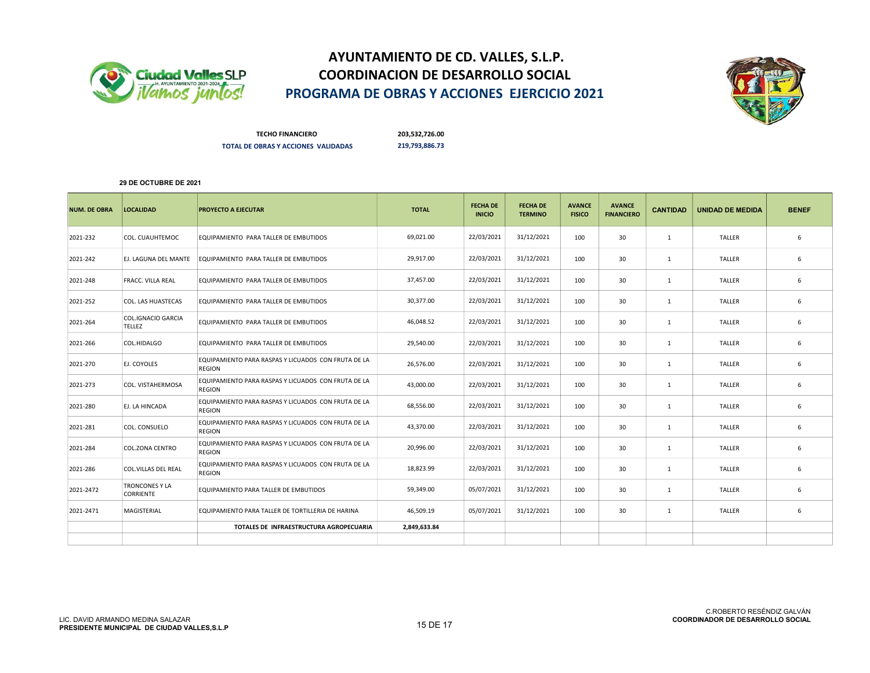



TECHO FINANCIERO 203,532,726.00 TOTAL DE OBRAS Y ACCIONES VALIDADAS 219,793,886.73

| <b>NUM. DE OBRA</b> | <b>LOCALIDAD</b>                    | <b>PROYECTO A EJECUTAR</b>                                           | <b>TOTAL</b> | <b>FECHA DE</b><br><b>INICIO</b> | <b>FECHA DE</b><br><b>TERMINO</b> | <b>AVANCE</b><br><b>FISICO</b> | <b>AVANCE</b><br><b>FINANCIERO</b> | <b>CANTIDAD</b> | <b>UNIDAD DE MEDIDA</b> | <b>BENEF</b> |
|---------------------|-------------------------------------|----------------------------------------------------------------------|--------------|----------------------------------|-----------------------------------|--------------------------------|------------------------------------|-----------------|-------------------------|--------------|
| 2021-232            | COL. CUAUHTEMOC                     | EQUIPAMIENTO PARA TALLER DE EMBUTIDOS                                | 69,021.00    | 22/03/2021                       | 31/12/2021                        | 100                            | 30                                 | $\mathbf{1}$    | <b>TALLER</b>           | 6            |
| 2021-242            | EJ. LAGUNA DEL MANTE                | EQUIPAMIENTO PARA TALLER DE EMBUTIDOS                                | 29,917.00    | 22/03/2021                       | 31/12/2021                        | 100                            | 30                                 | $\mathbf{1}$    | <b>TALLER</b>           | 6            |
| 2021-248            | <b>FRACC. VILLA REAL</b>            | EQUIPAMIENTO PARA TALLER DE EMBUTIDOS                                | 37,457.00    | 22/03/2021                       | 31/12/2021                        | 100                            | 30                                 | $\mathbf{1}$    | <b>TALLER</b>           | 6            |
| 2021-252            | COL. LAS HUASTECAS                  | EQUIPAMIENTO PARA TALLER DE EMBUTIDOS                                | 30.377.00    | 22/03/2021                       | 31/12/2021                        | 100                            | 30                                 | 1               | <b>TALLER</b>           | 6            |
| 2021-264            | <b>COL.IGNACIO GARCIA</b><br>TELLEZ | EQUIPAMIENTO PARA TALLER DE EMBUTIDOS                                | 46,048.52    | 22/03/2021                       | 31/12/2021                        | 100                            | 30                                 | 1               | <b>TALLER</b>           | 6            |
| 2021-266            | COL.HIDALGO                         | EQUIPAMIENTO PARA TALLER DE EMBUTIDOS                                | 29,540.00    | 22/03/2021                       | 31/12/2021                        | 100                            | 30                                 | 1               | <b>TALLER</b>           | 6            |
| 2021-270            | EJ. COYOLES                         | EQUIPAMIENTO PARA RASPAS Y LICUADOS CON FRUTA DE LA<br><b>REGION</b> | 26,576.00    | 22/03/2021                       | 31/12/2021                        | 100                            | 30                                 | 1               | <b>TALLER</b>           | 6            |
| 2021-273            | COL. VISTAHERMOSA                   | EQUIPAMIENTO PARA RASPAS Y LICUADOS CON FRUTA DE LA<br><b>REGION</b> | 43,000.00    | 22/03/2021                       | 31/12/2021                        | 100                            | 30                                 | 1               | <b>TALLER</b>           | 6            |
| 2021-280            | EJ. LA HINCADA                      | EQUIPAMIENTO PARA RASPAS Y LICUADOS CON FRUTA DE LA<br><b>REGION</b> | 68,556.00    | 22/03/2021                       | 31/12/2021                        | 100                            | 30                                 | 1               | TALLER                  | 6            |
| 2021-281            | COL. CONSUELO                       | EQUIPAMIENTO PARA RASPAS Y LICUADOS CON FRUTA DE LA<br><b>REGION</b> | 43,370.00    | 22/03/2021                       | 31/12/2021                        | 100                            | 30                                 | 1               | <b>TALLER</b>           | 6            |
| 2021-284            | <b>COL.ZONA CENTRO</b>              | EQUIPAMIENTO PARA RASPAS Y LICUADOS CON FRUTA DE LA<br><b>REGION</b> | 20,996.00    | 22/03/2021                       | 31/12/2021                        | 100                            | 30                                 | 1               | <b>TALLER</b>           | 6            |
| 2021-286            | <b>COL.VILLAS DEL REAL</b>          | EQUIPAMIENTO PARA RASPAS Y LICUADOS CON FRUTA DE LA<br><b>REGION</b> | 18,823.99    | 22/03/2021                       | 31/12/2021                        | 100                            | 30                                 | 1               | <b>TALLER</b>           | 6            |
| 2021-2472           | <b>TRONCONES Y LA</b><br>CORRIENTE  | EQUIPAMIENTO PARA TALLER DE EMBUTIDOS                                | 59,349.00    | 05/07/2021                       | 31/12/2021                        | 100                            | 30                                 | 1               | <b>TALLER</b>           | 6            |
| 2021-2471           | MAGISTERIAL                         | EQUIPAMIENTO PARA TALLER DE TORTILLERIA DE HARINA                    | 46,509.19    | 05/07/2021                       | 31/12/2021                        | 100                            | 30                                 | $\mathbf{1}$    | <b>TALLER</b>           | 6            |
|                     |                                     | TOTALES DE INFRAESTRUCTURA AGROPECUARIA                              | 2,849,633.84 |                                  |                                   |                                |                                    |                 |                         |              |
|                     |                                     |                                                                      |              |                                  |                                   |                                |                                    |                 |                         |              |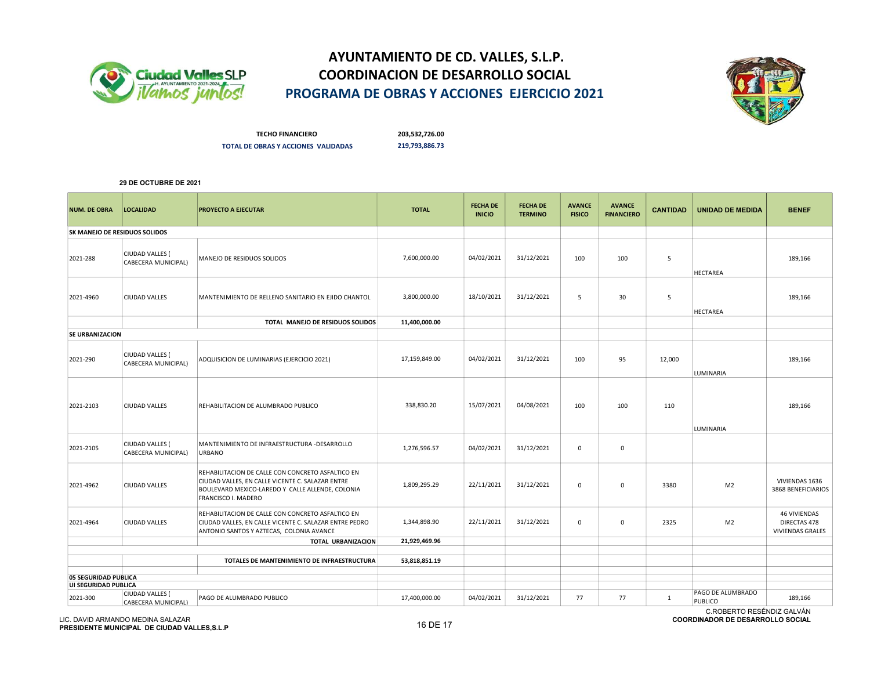



TECHO FINANCIERO 203,532,726.00 TOTAL DE OBRAS Y ACCIONES VALIDADAS 219,793,886.73

### 29 DE OCTUBRE DE 2021

| <b>NUM. DE OBRA</b>              | <b>LOCALIDAD</b>                       | <b>PROYECTO A EJECUTAR</b>                                                                                                                                                              | <b>TOTAL</b>  | <b>FECHA DE</b><br><b>INICIO</b> | <b>FECHA DE</b><br><b>TERMINO</b> | <b>AVANCE</b><br><b>FISICO</b> | <b>AVANCE</b><br><b>FINANCIERO</b> | <b>CANTIDAD</b> | <b>UNIDAD DE MEDIDA</b>                                   | <b>BENEF</b>                                                   |
|----------------------------------|----------------------------------------|-----------------------------------------------------------------------------------------------------------------------------------------------------------------------------------------|---------------|----------------------------------|-----------------------------------|--------------------------------|------------------------------------|-----------------|-----------------------------------------------------------|----------------------------------------------------------------|
| SK MANEJO DE RESIDUOS SOLIDOS    |                                        |                                                                                                                                                                                         |               |                                  |                                   |                                |                                    |                 |                                                           |                                                                |
| 2021-288                         | CIUDAD VALLES (<br>CABECERA MUNICIPAL) | MANEJO DE RESIDUOS SOLIDOS                                                                                                                                                              | 7,600,000.00  | 04/02/2021                       | 31/12/2021                        | 100                            | 100                                | 5               | <b>HECTAREA</b>                                           | 189,166                                                        |
| 2021-4960                        | CIUDAD VALLES                          | MANTENIMIENTO DE RELLENO SANITARIO EN EJIDO CHANTOL                                                                                                                                     | 3,800,000.00  | 18/10/2021                       | 31/12/2021                        | 5                              | 30                                 | 5               | <b>HECTAREA</b>                                           | 189,166                                                        |
|                                  |                                        | TOTAL MANEJO DE RESIDUOS SOLIDOS                                                                                                                                                        | 11,400,000.00 |                                  |                                   |                                |                                    |                 |                                                           |                                                                |
| SE URBANIZACION                  |                                        |                                                                                                                                                                                         |               |                                  |                                   |                                |                                    |                 |                                                           |                                                                |
| 2021-290                         | CIUDAD VALLES (<br>CABECERA MUNICIPAL) | ADQUISICION DE LUMINARIAS (EJERCICIO 2021)                                                                                                                                              | 17,159,849.00 | 04/02/2021                       | 31/12/2021                        | 100                            | 95                                 | 12,000          | LUMINARIA                                                 | 189,166                                                        |
| 2021-2103                        | CIUDAD VALLES                          | REHABILITACION DE ALUMBRADO PUBLICO                                                                                                                                                     | 338,830.20    | 15/07/2021                       | 04/08/2021                        | 100                            | 100                                | 110             | LUMINARIA                                                 | 189,166                                                        |
| 2021-2105                        | CIUDAD VALLES (<br>CABECERA MUNICIPAL) | MANTENIMIENTO DE INFRAESTRUCTURA -DESARROLLO<br><b>URBANO</b>                                                                                                                           | 1,276,596.57  | 04/02/2021                       | 31/12/2021                        | $\mathsf 0$                    | $\mathsf 0$                        |                 |                                                           |                                                                |
| 2021-4962                        | CIUDAD VALLES                          | REHABILITACION DE CALLE CON CONCRETO ASFALTICO EN<br>CIUDAD VALLES, EN CALLE VICENTE C. SALAZAR ENTRE<br>BOULEVARD MEXICO-LAREDO Y CALLE ALLENDE, COLONIA<br><b>FRANCISCO I. MADERO</b> | 1,809,295.29  | 22/11/2021                       | 31/12/2021                        | $\mathsf 0$                    | $\mathsf 0$                        | 3380            | M <sub>2</sub>                                            | VIVIENDAS 1636<br>3868 BENEFICIARIOS                           |
| 2021-4964                        | <b>CIUDAD VALLES</b>                   | REHABILITACION DE CALLE CON CONCRETO ASFALTICO EN<br>CIUDAD VALLES, EN CALLE VICENTE C. SALAZAR ENTRE PEDRO<br>ANTONIO SANTOS Y AZTECAS, COLONIA AVANCE                                 | 1,344,898.90  | 22/11/2021                       | 31/12/2021                        | $\mathbf 0$                    | 0                                  | 2325            | M <sub>2</sub>                                            | <b>46 VIVIENDAS</b><br>DIRECTAS 478<br><b>VIVIENDAS GRALES</b> |
|                                  |                                        | TOTAL URBANIZACION                                                                                                                                                                      | 21,929,469.96 |                                  |                                   |                                |                                    |                 |                                                           |                                                                |
|                                  |                                        | TOTALES DE MANTENIMIENTO DE INFRAESTRUCTURA                                                                                                                                             | 53,818,851.19 |                                  |                                   |                                |                                    |                 |                                                           |                                                                |
| 05 SEGURIDAD PUBLICA             |                                        |                                                                                                                                                                                         |               |                                  |                                   |                                |                                    |                 |                                                           |                                                                |
| UI SEGURIDAD PUBLICA<br>2021-300 | CIUDAD VALLES (<br>CABECERA MUNICIPAL) | PAGO DE ALUMBRADO PUBLICO                                                                                                                                                               | 17,400,000.00 | 04/02/2021                       | 31/12/2021                        | 77                             | 77                                 | $\mathbf{1}$    | PAGO DE ALUMBRADO<br>PUBLICO<br>0.5055570.5505102.0111(1) | 189,166                                                        |

LIC. DAVID ARMANDO MEDINA SALAZAR LIC. DAVID ARMANDO MEDINA SALAZAR<br>PRESIDENTE MUNICIPAL DE CIUDAD VALLES,S.L.P 16 DE 17 DE 17 DE 17 DE 17 DE 17 DE 17 DE 17 DE 17 DE 17 DE 17 DE

C.ROBERTO RESÉNDIZ GALVÁN COORDINADOR DE DESARROLLO SOCIAL